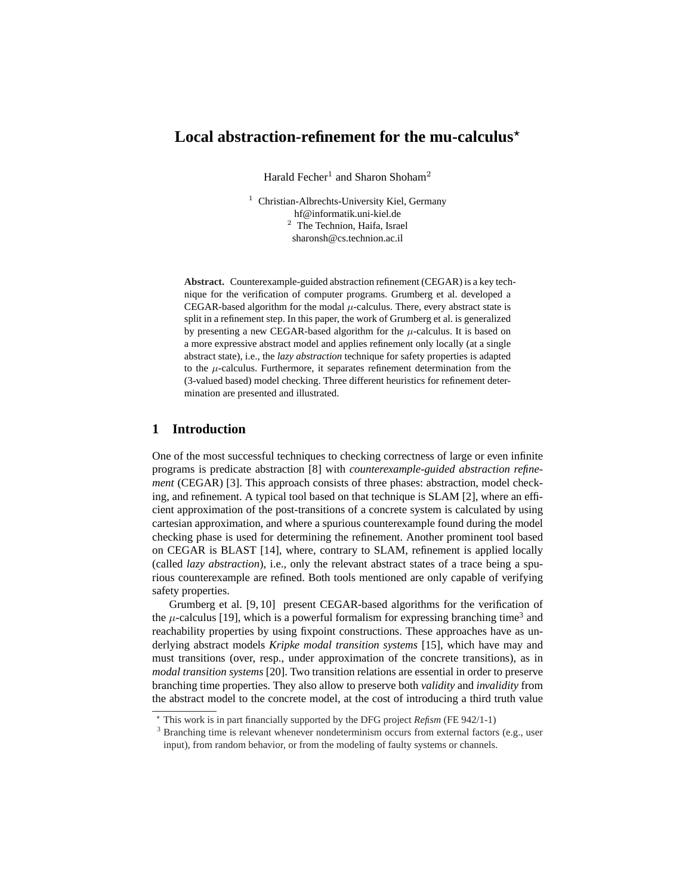# **Local abstraction-refinement for the mu-calculus**?

Harald Fecher $^1$  and Sharon Shoham $^2$ 

<sup>1</sup> Christian-Albrechts-University Kiel, Germany hf@informatik.uni-kiel.de <sup>2</sup> The Technion, Haifa, Israel sharonsh@cs.technion.ac.il

**Abstract.** Counterexample-guided abstraction refinement (CEGAR) is a key technique for the verification of computer programs. Grumberg et al. developed a CEGAR-based algorithm for the modal  $\mu$ -calculus. There, every abstract state is split in a refinement step. In this paper, the work of Grumberg et al. is generalized by presenting a new CEGAR-based algorithm for the  $\mu$ -calculus. It is based on a more expressive abstract model and applies refinement only locally (at a single abstract state), i.e., the *lazy abstraction* technique for safety properties is adapted to the  $\mu$ -calculus. Furthermore, it separates refinement determination from the (3-valued based) model checking. Three different heuristics for refinement determination are presented and illustrated.

### **1 Introduction**

One of the most successful techniques to checking correctness of large or even infinite programs is predicate abstraction [8] with *counterexample-guided abstraction refinement* (CEGAR) [3]. This approach consists of three phases: abstraction, model checking, and refinement. A typical tool based on that technique is SLAM [2], where an efficient approximation of the post-transitions of a concrete system is calculated by using cartesian approximation, and where a spurious counterexample found during the model checking phase is used for determining the refinement. Another prominent tool based on CEGAR is BLAST [14], where, contrary to SLAM, refinement is applied locally (called *lazy abstraction*), i.e., only the relevant abstract states of a trace being a spurious counterexample are refined. Both tools mentioned are only capable of verifying safety properties.

Grumberg et al. [9, 10] present CEGAR-based algorithms for the verification of the  $\mu$ -calculus [19], which is a powerful formalism for expressing branching time<sup>3</sup> and reachability properties by using fixpoint constructions. These approaches have as underlying abstract models *Kripke modal transition systems* [15], which have may and must transitions (over, resp., under approximation of the concrete transitions), as in *modal transition systems* [20]. Two transition relations are essential in order to preserve branching time properties. They also allow to preserve both *validity* and *invalidity* from the abstract model to the concrete model, at the cost of introducing a third truth value

<sup>?</sup> This work is in part financially supported by the DFG project *Refism* (FE 942/1-1)

<sup>&</sup>lt;sup>3</sup> Branching time is relevant whenever nondeterminism occurs from external factors (e.g., user input), from random behavior, or from the modeling of faulty systems or channels.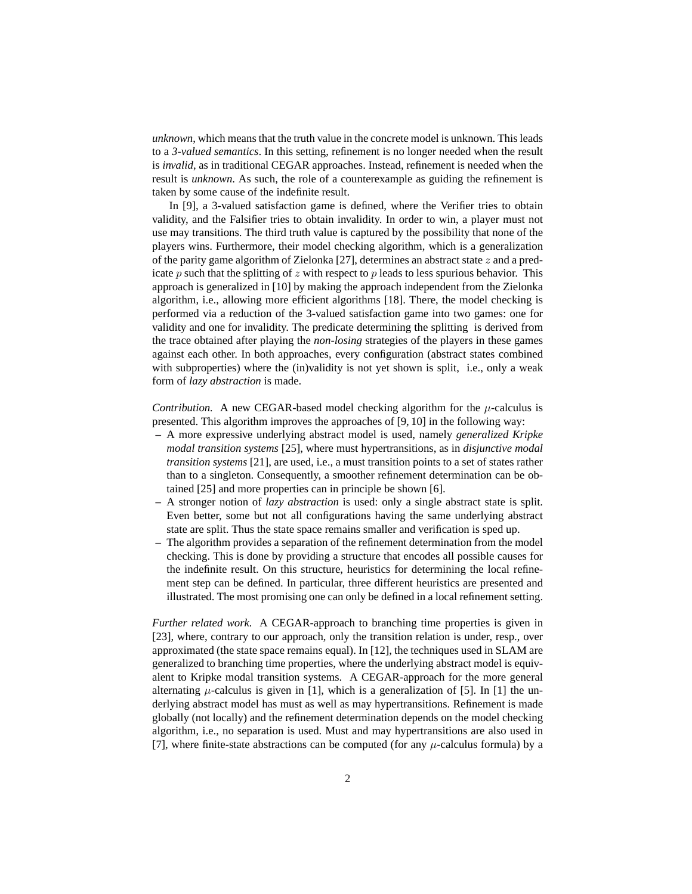*unknown*, which means that the truth value in the concrete model is unknown. This leads to a *3-valued semantics*. In this setting, refinement is no longer needed when the result is *invalid*, as in traditional CEGAR approaches. Instead, refinement is needed when the result is *unknown*. As such, the role of a counterexample as guiding the refinement is taken by some cause of the indefinite result.

In [9], a 3-valued satisfaction game is defined, where the Verifier tries to obtain validity, and the Falsifier tries to obtain invalidity. In order to win, a player must not use may transitions. The third truth value is captured by the possibility that none of the players wins. Furthermore, their model checking algorithm, which is a generalization of the parity game algorithm of Zielonka [27], determines an abstract state  $z$  and a predicate  $p$  such that the splitting of  $z$  with respect to  $p$  leads to less spurious behavior. This approach is generalized in [10] by making the approach independent from the Zielonka algorithm, i.e., allowing more efficient algorithms [18]. There, the model checking is performed via a reduction of the 3-valued satisfaction game into two games: one for validity and one for invalidity. The predicate determining the splitting is derived from the trace obtained after playing the *non-losing* strategies of the players in these games against each other. In both approaches, every configuration (abstract states combined with subproperties) where the (in)validity is not yet shown is split, i.e., only a weak form of *lazy abstraction* is made.

*Contribution.* A new CEGAR-based model checking algorithm for the  $\mu$ -calculus is presented. This algorithm improves the approaches of [9, 10] in the following way:

- **–** A more expressive underlying abstract model is used, namely *generalized Kripke modal transition systems* [25], where must hypertransitions, as in *disjunctive modal transition systems* [21], are used, i.e., a must transition points to a set of states rather than to a singleton. Consequently, a smoother refinement determination can be obtained [25] and more properties can in principle be shown [6].
- **–** A stronger notion of *lazy abstraction* is used: only a single abstract state is split. Even better, some but not all configurations having the same underlying abstract state are split. Thus the state space remains smaller and verification is sped up.
- **–** The algorithm provides a separation of the refinement determination from the model checking. This is done by providing a structure that encodes all possible causes for the indefinite result. On this structure, heuristics for determining the local refinement step can be defined. In particular, three different heuristics are presented and illustrated. The most promising one can only be defined in a local refinement setting.

*Further related work.* A CEGAR-approach to branching time properties is given in [23], where, contrary to our approach, only the transition relation is under, resp., over approximated (the state space remains equal). In [12], the techniques used in SLAM are generalized to branching time properties, where the underlying abstract model is equivalent to Kripke modal transition systems. A CEGAR-approach for the more general alternating  $\mu$ -calculus is given in [1], which is a generalization of [5]. In [1] the underlying abstract model has must as well as may hypertransitions. Refinement is made globally (not locally) and the refinement determination depends on the model checking algorithm, i.e., no separation is used. Must and may hypertransitions are also used in [7], where finite-state abstractions can be computed (for any  $\mu$ -calculus formula) by a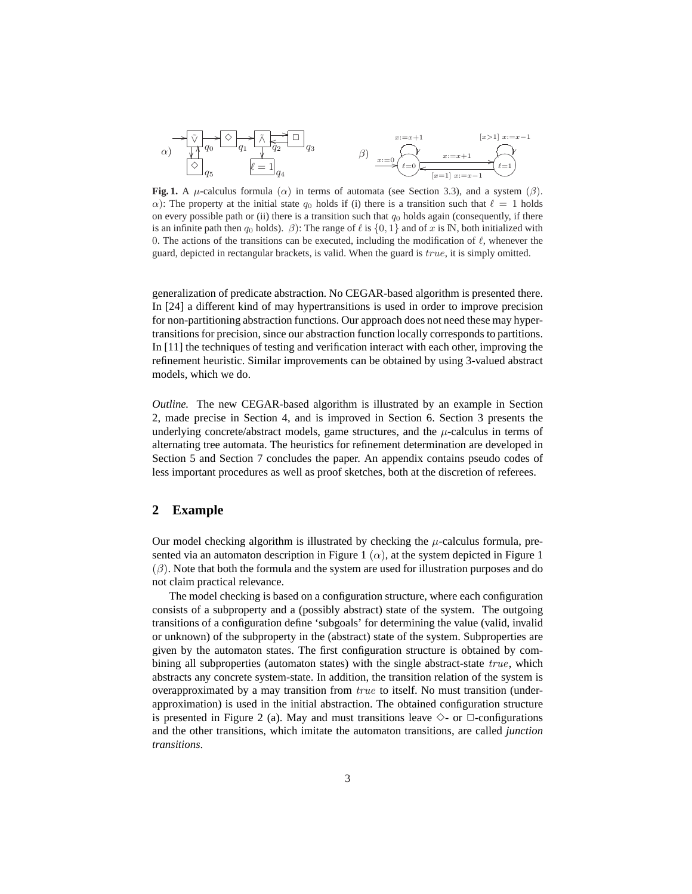

**Fig. 1.** A  $\mu$ -calculus formula ( $\alpha$ ) in terms of automata (see Section 3.3), and a system ( $\beta$ ).  $\alpha$ ): The property at the initial state  $q_0$  holds if (i) there is a transition such that  $\ell = 1$  holds on every possible path or (ii) there is a transition such that  $q_0$  holds again (consequently, if there is an infinite path then  $q_0$  holds).  $\beta$ : The range of  $\ell$  is  $\{0, 1\}$  and of x is IN, both initialized with 0. The actions of the transitions can be executed, including the modification of  $\ell$ , whenever the guard, depicted in rectangular brackets, is valid. When the guard is  $true$ , it is simply omitted.

generalization of predicate abstraction. No CEGAR-based algorithm is presented there. In [24] a different kind of may hypertransitions is used in order to improve precision for non-partitioning abstraction functions. Our approach does not need these may hypertransitions for precision, since our abstraction function locally corresponds to partitions. In [11] the techniques of testing and verification interact with each other, improving the refinement heuristic. Similar improvements can be obtained by using 3-valued abstract models, which we do.

*Outline.* The new CEGAR-based algorithm is illustrated by an example in Section 2, made precise in Section 4, and is improved in Section 6. Section 3 presents the underlying concrete/abstract models, game structures, and the  $\mu$ -calculus in terms of alternating tree automata. The heuristics for refinement determination are developed in Section 5 and Section 7 concludes the paper. An appendix contains pseudo codes of less important procedures as well as proof sketches, both at the discretion of referees.

### **2 Example**

Our model checking algorithm is illustrated by checking the  $\mu$ -calculus formula, presented via an automaton description in Figure 1  $(\alpha)$ , at the system depicted in Figure 1  $(\beta)$ . Note that both the formula and the system are used for illustration purposes and do not claim practical relevance.

The model checking is based on a configuration structure, where each configuration consists of a subproperty and a (possibly abstract) state of the system. The outgoing transitions of a configuration define 'subgoals' for determining the value (valid, invalid or unknown) of the subproperty in the (abstract) state of the system. Subproperties are given by the automaton states. The first configuration structure is obtained by combining all subproperties (automaton states) with the single abstract-state true, which abstracts any concrete system-state. In addition, the transition relation of the system is overapproximated by a may transition from true to itself. No must transition (underapproximation) is used in the initial abstraction. The obtained configuration structure is presented in Figure 2 (a). May and must transitions leave  $\diamond$ - or  $\Box$ -configurations and the other transitions, which imitate the automaton transitions, are called *junction transitions*.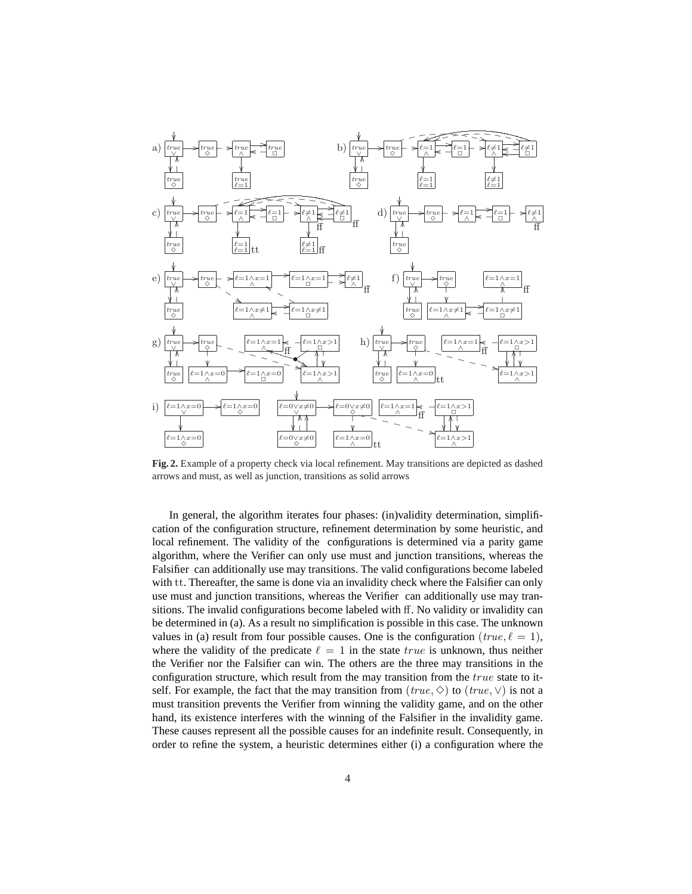

**Fig. 2.** Example of a property check via local refinement. May transitions are depicted as dashed arrows and must, as well as junction, transitions as solid arrows

In general, the algorithm iterates four phases: (in)validity determination, simplification of the configuration structure, refinement determination by some heuristic, and local refinement. The validity of the configurations is determined via a parity game algorithm, where the Verifier can only use must and junction transitions, whereas the Falsifier can additionally use may transitions. The valid configurations become labeled with tt. Thereafter, the same is done via an invalidity check where the Falsifier can only use must and junction transitions, whereas the Verifier can additionally use may transitions. The invalid configurations become labeled with ff. No validity or invalidity can be determined in (a). As a result no simplification is possible in this case. The unknown values in (a) result from four possible causes. One is the configuration (true,  $\ell = 1$ ), where the validity of the predicate  $\ell = 1$  in the state true is unknown, thus neither the Verifier nor the Falsifier can win. The others are the three may transitions in the configuration structure, which result from the may transition from the true state to itself. For example, the fact that the may transition from  $(true, \diamond)$  to  $(true, \vee)$  is not a must transition prevents the Verifier from winning the validity game, and on the other hand, its existence interferes with the winning of the Falsifier in the invalidity game. These causes represent all the possible causes for an indefinite result. Consequently, in order to refine the system, a heuristic determines either (i) a configuration where the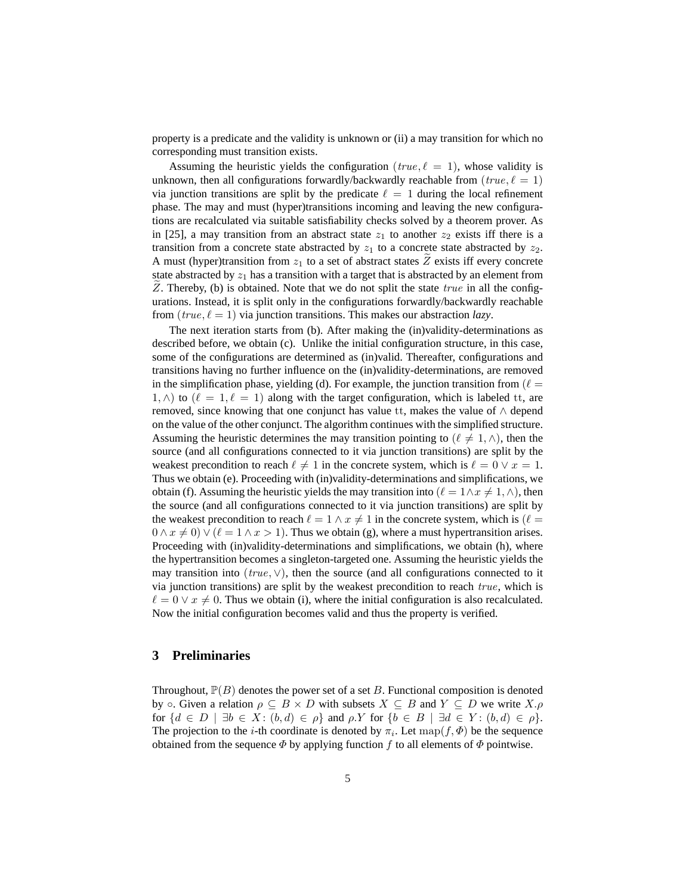property is a predicate and the validity is unknown or (ii) a may transition for which no corresponding must transition exists.

Assuming the heuristic yields the configuration (true,  $\ell = 1$ ), whose validity is unknown, then all configurations forwardly/backwardly reachable from  $(true, \ell = 1)$ via junction transitions are split by the predicate  $\ell = 1$  during the local refinement phase. The may and must (hyper)transitions incoming and leaving the new configurations are recalculated via suitable satisfiability checks solved by a theorem prover. As in [25], a may transition from an abstract state  $z_1$  to another  $z_2$  exists iff there is a transition from a concrete state abstracted by  $z_1$  to a concrete state abstracted by  $z_2$ . A must (hyper)transition from  $z_1$  to a set of abstract states  $Z$  exists iff every concrete state abstracted by  $z_1$  has a transition with a target that is abstracted by an element from Z. Thereby, (b) is obtained. Note that we do not split the state true in all the configurations. Instead, it is split only in the configurations forwardly/backwardly reachable from  $(true, \ell = 1)$  via junction transitions. This makes our abstraction *lazy*.

The next iteration starts from (b). After making the (in)validity-determinations as described before, we obtain (c). Unlike the initial configuration structure, in this case, some of the configurations are determined as (in)valid. Thereafter, configurations and transitions having no further influence on the (in)validity-determinations, are removed in the simplification phase, yielding (d). For example, the junction transition from ( $\ell =$ 1,  $\wedge$ ) to ( $\ell = 1, \ell = 1$ ) along with the target configuration, which is labeled tt, are removed, since knowing that one conjunct has value tt, makes the value of  $\land$  depend on the value of the other conjunct. The algorithm continues with the simplified structure. Assuming the heuristic determines the may transition pointing to ( $\ell \neq 1, \wedge$ ), then the source (and all configurations connected to it via junction transitions) are split by the weakest precondition to reach  $\ell \neq 1$  in the concrete system, which is  $\ell = 0 \vee x = 1$ . Thus we obtain (e). Proceeding with (in)validity-determinations and simplifications, we obtain (f). Assuming the heuristic yields the may transition into  $(\ell = 1 \land x \neq 1, \land)$ , then the source (and all configurations connected to it via junction transitions) are split by the weakest precondition to reach  $\ell = 1 \wedge x \neq 1$  in the concrete system, which is ( $\ell =$  $0 \wedge x \neq 0$ )  $\vee (\ell = 1 \wedge x > 1)$ . Thus we obtain (g), where a must hypertransition arises. Proceeding with (in)validity-determinations and simplifications, we obtain (h), where the hypertransition becomes a singleton-targeted one. Assuming the heuristic yields the may transition into (true,  $\vee$ ), then the source (and all configurations connected to it via junction transitions) are split by the weakest precondition to reach true, which is  $\ell = 0 \vee x \neq 0$ . Thus we obtain (i), where the initial configuration is also recalculated. Now the initial configuration becomes valid and thus the property is verified.

### **3 Preliminaries**

Throughout,  $\mathbb{P}(B)$  denotes the power set of a set B. Functional composition is denoted by  $\circ$ . Given a relation  $\rho \subseteq B \times D$  with subsets  $X \subseteq B$  and  $Y \subseteq D$  we write  $X.\rho$ for  $\{d \in D \mid \exists b \in X : (b, d) \in \rho\}$  and  $\rho.Y$  for  $\{b \in B \mid \exists d \in Y : (b, d) \in \rho\}.$ The projection to the *i*-th coordinate is denoted by  $\pi_i$ . Let  $\text{map}(f, \Phi)$  be the sequence obtained from the sequence  $\Phi$  by applying function f to all elements of  $\Phi$  pointwise.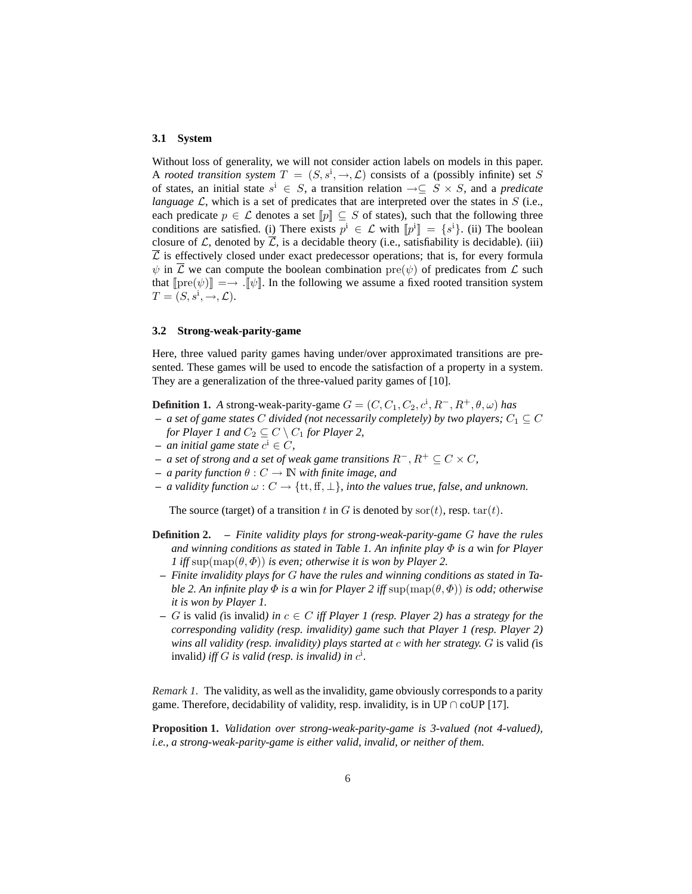#### **3.1 System**

Without loss of generality, we will not consider action labels on models in this paper. A *rooted transition system*  $T = (S, s^i, \rightarrow, \mathcal{L})$  consists of a (possibly infinite) set S of states, an initial state  $s^i$  ∈ S, a transition relation  $\rightarrow \subseteq S \times S$ , and a *predicate language*  $\mathcal{L}$ , which is a set of predicates that are interpreted over the states in S (i.e., each predicate  $p \in \mathcal{L}$  denotes a set  $[p] \subseteq S$  of states), such that the following three conditions are satisfied. (i) There exists  $p^i \in \mathcal{L}$  with  $[[p^i]] = \{s^i\}$ . (ii) The boolean closure of L, denoted by  $\overline{L}$ , is a decidable theory (i.e., satisfiability is decidable). (iii)  $\mathcal L$  is effectively closed under exact predecessor operations; that is, for every formula  $\psi$  in  $\overline{\mathcal{L}}$  we can compute the boolean combination pre( $\psi$ ) of predicates from  $\mathcal{L}$  such that  $[\text{pre}(\psi)]=\rightarrow \mathbb{I}[\psi]$ . In the following we assume a fixed rooted transition system  $T = (S, s^i, \rightarrow, \mathcal{L}).$ 

#### **3.2 Strong-weak-parity-game**

Here, three valued parity games having under/over approximated transitions are presented. These games will be used to encode the satisfaction of a property in a system. They are a generalization of the three-valued parity games of [10].

**Definition 1.** *A* strong-weak-parity-game  $G = (C, C_1, C_2, c^i, R^-, R^+, \theta, \omega)$  has

- $−$  *a set of game states*  $C$  *divided (not necessarily completely) by two players;*  $C_1 ⊆ C$ *for Player 1 and*  $C_2 \subseteq C \setminus C_1$  *for Player 2,*
- $-$  *an initial game state*  $c^i \in C$ *,*
- **–** *a set of strong and a set of weak game transitions* R<sup>−</sup>, R<sup>+</sup> ⊆ C × C*,*
- $a$  parity function  $\theta : C \to \mathbb{N}$  with finite image, and
- $− a$  *validity function*  $\omega$  :  $C \rightarrow \{ \text{tt}, \text{ff}, \perp \}$ *, into the values true, false, and unknown.*

The source (target) of a transition t in G is denoted by  $\text{sort}(t)$ , resp.  $\text{tar}(t)$ .

- **Definition 2. –** *Finite validity plays for strong-weak-parity-game* G *have the rules and winning conditions as stated in Table 1. An infinite play* Φ *is a* win *for Player 1 iff* sup( $map(\theta, \Phi)$ ) *is even; otherwise it is won by Player 2.*
- **–** *Finite invalidity plays for* G *have the rules and winning conditions as stated in Table 2. An infinite play*  $\Phi$  *is a win for Player 2 iff* sup $(\text{map}(\theta, \Phi))$  *is odd; otherwise it is won by Player 1.*
- $− G$  is valid (is invalid) in  $c \in C$  *iff Player 1 (resp. Player 2) has a strategy for the corresponding validity (resp. invalidity) game such that Player 1 (resp. Player 2) wins all validity (resp. invalidity) plays started at* c *with her strategy.* G is valid *(*is invalid) *iff*  $G$  is valid (resp. is invalid) in  $c^i$ .

*Remark 1.* The validity, as well as the invalidity, game obviously corresponds to a parity game. Therefore, decidability of validity, resp. invalidity, is in UP  $\cap$  coUP [17].

**Proposition 1.** *Validation over strong-weak-parity-game is 3-valued (not 4-valued), i.e., a strong-weak-parity-game is either valid, invalid, or neither of them.*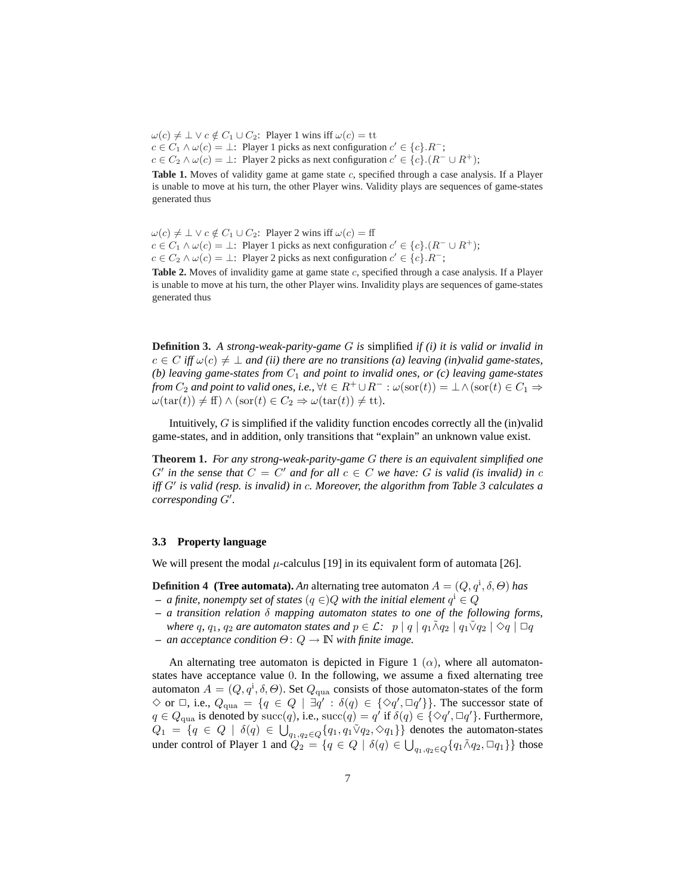$\omega(c) \neq \bot \vee c \notin C_1 \cup C_2$ : Player 1 wins iff  $\omega(c) = \text{tt}$  $c \in C_1 \wedge \omega(c) = \bot$ : Player 1 picks as next configuration  $c' \in \{c\} \cdot R^-$ ;  $c \in C_2 \wedge \omega(c) = \bot$ : Player 2 picks as next configuration  $c' \in \{c\} \cdot (R^- \cup R^+)$ ;

Table 1. Moves of validity game at game state c, specified through a case analysis. If a Player is unable to move at his turn, the other Player wins. Validity plays are sequences of game-states generated thus

 $\omega(c) \neq \perp \vee c \notin C_1 \cup C_2$ : Player 2 wins iff  $\omega(c) = f$  $c \in C_1 \wedge \omega(c) = \bot$ : Player 1 picks as next configuration  $c' \in \{c\} \cdot (R^- \cup R^+)$ ;  $c \in C_2 \wedge \omega(c) = \bot$ : Player 2 picks as next configuration  $c' \in \{c\} \cdot R^-$ ;

Table 2. Moves of invalidity game at game state c, specified through a case analysis. If a Player is unable to move at his turn, the other Player wins. Invalidity plays are sequences of game-states generated thus

**Definition 3.** *A strong-weak-parity-game* G *is* simplified *if (i) it is valid or invalid in*  $c \in C$  *iff*  $\omega(c) \neq \bot$  *and (ii) there are no transitions (a) leaving (in)valid game-states, (b) leaving game-states from* C<sup>1</sup> *and point to invalid ones, or (c) leaving game-states from*  $C_2$  *and point to valid ones, i.e.,*  $\forall t \in R^+ \cup R^- : \omega(\text{sort}(t)) = \bot \wedge (\text{sort}(t) \in C_1 \Rightarrow$  $\omega(\text{tar}(t)) \neq \text{ff}) \wedge (\text{sor}(t) \in C_2 \Rightarrow \omega(\text{tar}(t)) \neq \text{tt}).$ 

Intuitively,  $G$  is simplified if the validity function encodes correctly all the (in)valid game-states, and in addition, only transitions that "explain" an unknown value exist.

**Theorem 1.** *For any strong-weak-parity-game* G *there is an equivalent simplified one*  $G'$  in the sense that  $C = C'$  and for all  $c \in C$  we have: G is valid (is invalid) in c *iff* G' is valid (resp. is invalid) in c. Moreover, the algorithm from Table 3 calculates a  $corresponding G'.$ 

#### **3.3 Property language**

We will present the modal  $\mu$ -calculus [19] in its equivalent form of automata [26].

**Definition 4 (Tree automata).** An alternating tree automaton  $A = (Q, q^i, \delta, \Theta)$  has  $−$  *a finite, nonempty set of states*  $(q ∈)Q$  *with the initial element*  $q^i ∈ Q$ 

- **–** *a transition relation* δ *mapping automaton states to one of the following forms, where* q,  $q_1$ ,  $q_2$  *are automaton states and*  $p \in \mathcal{L}$ :  $p | q | q_1 \tilde{\wedge} q_2 | q_1 \tilde{\vee} q_2 | \tilde{\vee} q | \square q$
- $−$  *an acceptance condition*  $Θ$  :  $Q$   $→$  **N** *with finite image.*

An alternating tree automaton is depicted in Figure 1  $(\alpha)$ , where all automatonstates have acceptance value 0. In the following, we assume a fixed alternating tree automaton  $A = (Q, q^i, \delta, \Theta)$ . Set  $Q_{\text{qua}}$  consists of those automaton-states of the form  $\Diamond$  or  $\Box$ , i.e.,  $Q_{\text{qua}} = \{q \in Q \mid \exists q' : \delta(q) \in \{\Diamond q', \Box q'\}\}\.$  The successor state of  $q \in Q_{\text{qua}}$  is denoted by  $\text{succ}(q)$ , i.e.,  $\text{succ}(q) = q'$  if  $\delta(q) \in {\{\heartsuit q', \Box q'\}}$ . Furthermore,  $Q_1 = \{q \in Q \mid \delta(q) \in \bigcup_{q_1,q_2 \in Q} \{q_1,q_1 \tilde{\vee} q_2, \diamond q_1\} \}$  denotes the automaton-states under control of Player 1 and  $Q_2 = \{q \in Q \mid \delta(q) \in \bigcup_{q_1,q_2 \in Q} \{q_1 \tilde{\wedge} q_2, \Box q_1\} \}$  those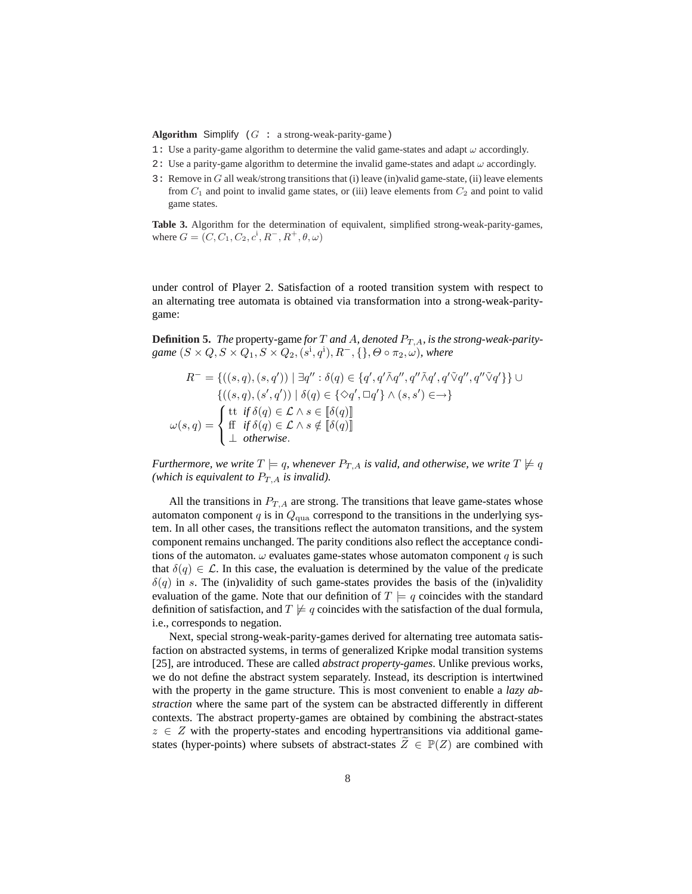**Algorithm** Simplify ( $G :$  a strong-weak-parity-game)

- 1: Use a parity-game algorithm to determine the valid game-states and adapt  $\omega$  accordingly.
- 2: Use a parity-game algorithm to determine the invalid game-states and adapt  $\omega$  accordingly.
- 3: Remove in  $G$  all weak/strong transitions that (i) leave (in)valid game-state, (ii) leave elements from  $C_1$  and point to invalid game states, or (iii) leave elements from  $C_2$  and point to valid game states.

**Table 3.** Algorithm for the determination of equivalent, simplified strong-weak-parity-games, where  $G = (C, C_1, C_2, c^i, R^-, R^+, \theta, \omega)$ 

under control of Player 2. Satisfaction of a rooted transition system with respect to an alternating tree automata is obtained via transformation into a strong-weak-paritygame:

**Definition 5.** *The* property-game *for*  $T$  *and*  $A$ *, denoted*  $P_{T,A}$ *, is the strong-weak-parity-* $\emph{game }(S \times Q, S \times Q_1, S \times Q_2, (s^{\rm i}, q^{\rm i}), R^-, \{\}, \Theta \circ \pi_2, \omega)$ *, where* 

$$
R^- = \{ ((s, q), (s, q')) \mid \exists q'' : \delta(q) \in \{q', q'\tilde{\land}q'', q''\tilde{\land}q', q'\tilde{\lor}q'', q''\tilde{\lor}q' \} \} \cup \{ ((s, q), (s', q')) \mid \delta(q) \in \{\tilde{\lor}q', \Box q'\} \land (s, s') \in \to \} \omega(s, q) = \begin{cases} \text{tt} & \text{if } \delta(q) \in \mathcal{L} \land s \in [\![\delta(q)]\!] \\ \text{ff} & \text{if } \delta(q) \in \mathcal{L} \land s \notin [\![\delta(q)]\!] \\ \perp \text{ otherwise.} \end{cases}
$$

*Furthermore, we write*  $T \models q$ *, whenever*  $P_{T,A}$  *is valid, and otherwise, we write*  $T \not\models q$ *(which is equivalent to*  $P_{T,A}$  *is invalid).* 

All the transitions in  $P_{T,A}$  are strong. The transitions that leave game-states whose automaton component q is in  $Q_{\text{qua}}$  correspond to the transitions in the underlying system. In all other cases, the transitions reflect the automaton transitions, and the system component remains unchanged. The parity conditions also reflect the acceptance conditions of the automaton.  $\omega$  evaluates game-states whose automaton component q is such that  $\delta(q) \in \mathcal{L}$ . In this case, the evaluation is determined by the value of the predicate  $\delta(q)$  in s. The (in)validity of such game-states provides the basis of the (in)validity evaluation of the game. Note that our definition of  $T \models q$  coincides with the standard definition of satisfaction, and  $T \not\models q$  coincides with the satisfaction of the dual formula, i.e., corresponds to negation.

Next, special strong-weak-parity-games derived for alternating tree automata satisfaction on abstracted systems, in terms of generalized Kripke modal transition systems [25], are introduced. These are called *abstract property-games*. Unlike previous works, we do not define the abstract system separately. Instead, its description is intertwined with the property in the game structure. This is most convenient to enable a *lazy abstraction* where the same part of the system can be abstracted differently in different contexts. The abstract property-games are obtained by combining the abstract-states  $z \in Z$  with the property-states and encoding hypertransitions via additional gamestates (hyper-points) where subsets of abstract-states  $\widetilde{Z} \in \mathbb{P}(Z)$  are combined with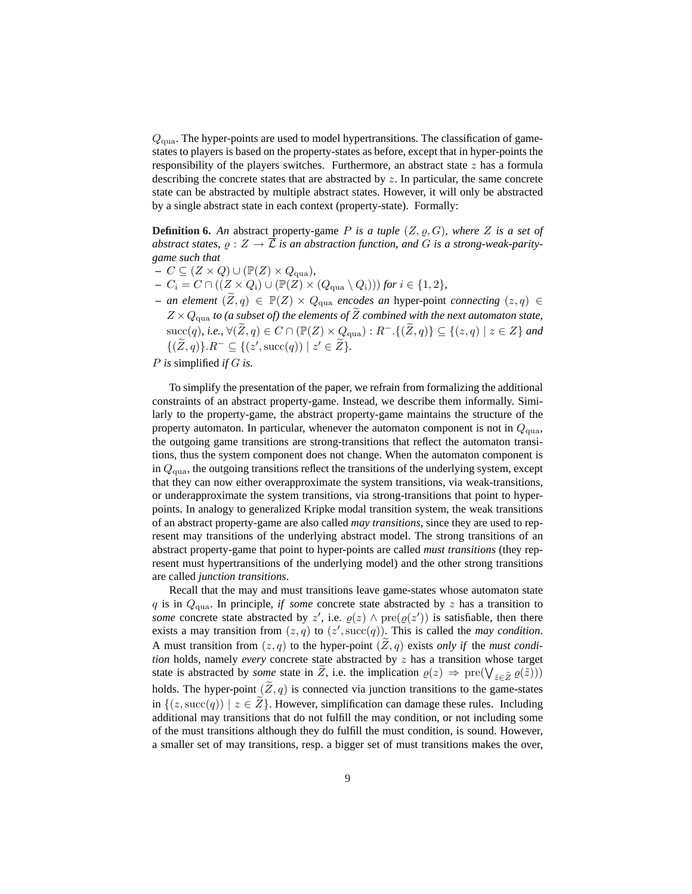$Q_{\text{qua}}$ . The hyper-points are used to model hypertransitions. The classification of gamestates to players is based on the property-states as before, except that in hyper-points the responsibility of the players switches. Furthermore, an abstract state  $z$  has a formula describing the concrete states that are abstracted by  $z$ . In particular, the same concrete state can be abstracted by multiple abstract states. However, it will only be abstracted by a single abstract state in each context (property-state). Formally:

**Definition 6.** An abstract property-game P is a tuple  $(Z, \rho, G)$ , where Z is a set of *abstract states,*  $\rho: Z \to \mathcal{L}$  *is an abstraction function, and* G *is a strong-weak-paritygame such that*

- **–** C ⊆ (Z × Q) ∪ (P(Z) × Qqua)*,*
- **–**  $C_i$  =  $C \cap ((Z \times Q_i) \cup (\mathbb{P}(Z) \times (Q_{\text{qua}} \setminus Q_i)))$  *for*  $i \in \{1, 2\}$ *,*
- *–* an element  $(\widetilde{Z}, q)$  ∈  $\mathbb{P}(Z) \times Q_{\text{qua}}$  encodes an hyper-point connecting  $(z, q)$  ∈  $Z \times Q_{\text{qua}}$  *to (a subset of) the elements of*  $\widetilde{Z}$  *combined with the next automaton state,*  $succ(q)$ *, i.e.,*  $\forall (\widetilde{Z}, q) \in C \cap (\mathbb{P}(Z) \times Q_{\text{qua}}) : R^{-}.\{(\widetilde{Z}, q)\} \subseteq \{(z,q) \mid z \in Z\}$  and  $\{(\widetilde{Z}, q)\}.R^{-} \subseteq \{(z', \text{succ}(q)) \mid z' \in \widetilde{Z}\}.$

P *is* simplified *if* G *is.*

To simplify the presentation of the paper, we refrain from formalizing the additional constraints of an abstract property-game. Instead, we describe them informally. Similarly to the property-game, the abstract property-game maintains the structure of the property automaton. In particular, whenever the automaton component is not in  $Q_{\text{qua}}$ , the outgoing game transitions are strong-transitions that reflect the automaton transitions, thus the system component does not change. When the automaton component is in  $Q_{\text{qua}}$ , the outgoing transitions reflect the transitions of the underlying system, except that they can now either overapproximate the system transitions, via weak-transitions, or underapproximate the system transitions, via strong-transitions that point to hyperpoints. In analogy to generalized Kripke modal transition system, the weak transitions of an abstract property-game are also called *may transitions*, since they are used to represent may transitions of the underlying abstract model. The strong transitions of an abstract property-game that point to hyper-points are called *must transitions* (they represent must hypertransitions of the underlying model) and the other strong transitions are called *junction transitions*.

Recall that the may and must transitions leave game-states whose automaton state q is in Qqua. In principle, *if some* concrete state abstracted by z has a transition to *some* concrete state abstracted by z', i.e.  $\varrho(z) \wedge \text{pre}(\varrho(z'))$  is satisfiable, then there exists a may transition from  $(z, q)$  to  $(z', \text{succ}(q))$ . This is called the *may condition*. A must transition from  $(z, q)$  to the hyper-point  $(\tilde{Z}, q)$  exists *only if* the *must condition* holds, namely *every* concrete state abstracted by z has a transition whose target state is abstracted by *some* state in  $\tilde{Z}$ , i.e. the implication  $\varrho(z) \Rightarrow \text{pre}(\bigvee_{\tilde{z} \in \tilde{Z}} \varrho(\tilde{z}))$ holds. The hyper-point  $(\widetilde{Z}, q)$  is connected via junction transitions to the game-states in  $\{(z,\text{succ}(q)) \mid z \in \mathbb{Z}\}$ . However, simplification can damage these rules. Including additional may transitions that do not fulfill the may condition, or not including some of the must transitions although they do fulfill the must condition, is sound. However, a smaller set of may transitions, resp. a bigger set of must transitions makes the over,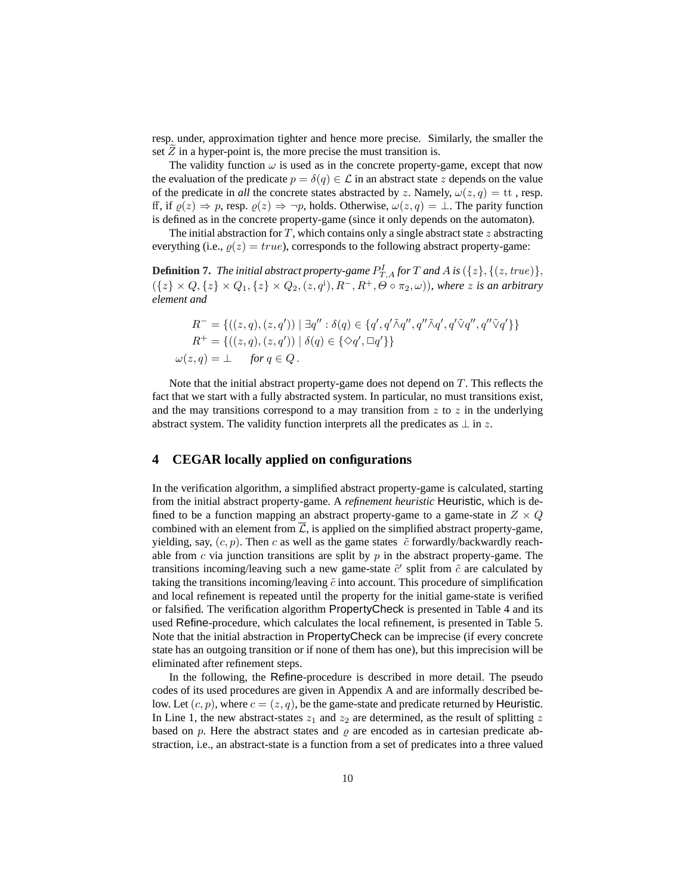resp. under, approximation tighter and hence more precise. Similarly, the smaller the set  $Z$  in a hyper-point is, the more precise the must transition is.

The validity function  $\omega$  is used as in the concrete property-game, except that now the evaluation of the predicate  $p = \delta(q) \in \mathcal{L}$  in an abstract state z depends on the value of the predicate in *all* the concrete states abstracted by z. Namely,  $\omega(z, q) = \text{tt}$ , resp. ff, if  $\rho(z) \Rightarrow p$ , resp.  $\rho(z) \Rightarrow \neg p$ , holds. Otherwise,  $\omega(z, q) = \bot$ . The parity function is defined as in the concrete property-game (since it only depends on the automaton).

The initial abstraction for  $T$ , which contains only a single abstract state  $z$  abstracting everything (i.e.,  $\rho(z) = true$ ), corresponds to the following abstract property-game:

**Definition 7.** The initial abstract property-game  $P_{T,A}^I$  for  $T$  and  $A$  is  $(\{z\}, \{(z, true)\},\$  $(\{z\}\times Q, \{z\}\times Q_1, \{z\}\times Q_2, (z,q^i), R^-, R^+, \Theta \circ \pi_2, \omega)$ ), where z is an arbitrary *element and*

$$
R^{-} = \{ ((z, q), (z, q')) \mid \exists q'' : \delta(q) \in \{q', q'\tilde{\wedge}q'', q''\tilde{\wedge}q', q'\tilde{\vee}q'', q''\tilde{\vee}q' \} \}
$$
  
\n
$$
R^{+} = \{ ((z, q), (z, q')) \mid \delta(q) \in \{\diamond q', \Box q' \} \}
$$
  
\n
$$
\omega(z, q) = \bot \quad \text{for } q \in Q.
$$

Note that the initial abstract property-game does not depend on  $T$ . This reflects the fact that we start with a fully abstracted system. In particular, no must transitions exist, and the may transitions correspond to a may transition from  $z$  to  $z$  in the underlying abstract system. The validity function interprets all the predicates as  $\perp$  in z.

## **4 CEGAR locally applied on configurations**

In the verification algorithm, a simplified abstract property-game is calculated, starting from the initial abstract property-game. A *refinement heuristic* Heuristic, which is defined to be a function mapping an abstract property-game to a game-state in  $Z \times Q$ combined with an element from  $\overline{\mathcal{L}}$ , is applied on the simplified abstract property-game, yielding, say,  $(c, p)$ . Then c as well as the game states  $\tilde{c}$  forwardly/backwardly reachable from c via junction transitions are split by  $p$  in the abstract property-game. The transitions incoming/leaving such a new game-state  $\tilde{c}'$  split from  $\tilde{c}$  are calculated by taking the transitions incoming/leaving  $\tilde{c}$  into account. This procedure of simplification and local refinement is repeated until the property for the initial game-state is verified or falsified. The verification algorithm PropertyCheck is presented in Table 4 and its used Refine-procedure, which calculates the local refinement, is presented in Table 5. Note that the initial abstraction in PropertyCheck can be imprecise (if every concrete state has an outgoing transition or if none of them has one), but this imprecision will be eliminated after refinement steps.

In the following, the Refine-procedure is described in more detail. The pseudo codes of its used procedures are given in Appendix A and are informally described below. Let  $(c, p)$ , where  $c = (z, q)$ , be the game-state and predicate returned by Heuristic. In Line 1, the new abstract-states  $z_1$  and  $z_2$  are determined, as the result of splitting z based on p. Here the abstract states and  $\rho$  are encoded as in cartesian predicate abstraction, i.e., an abstract-state is a function from a set of predicates into a three valued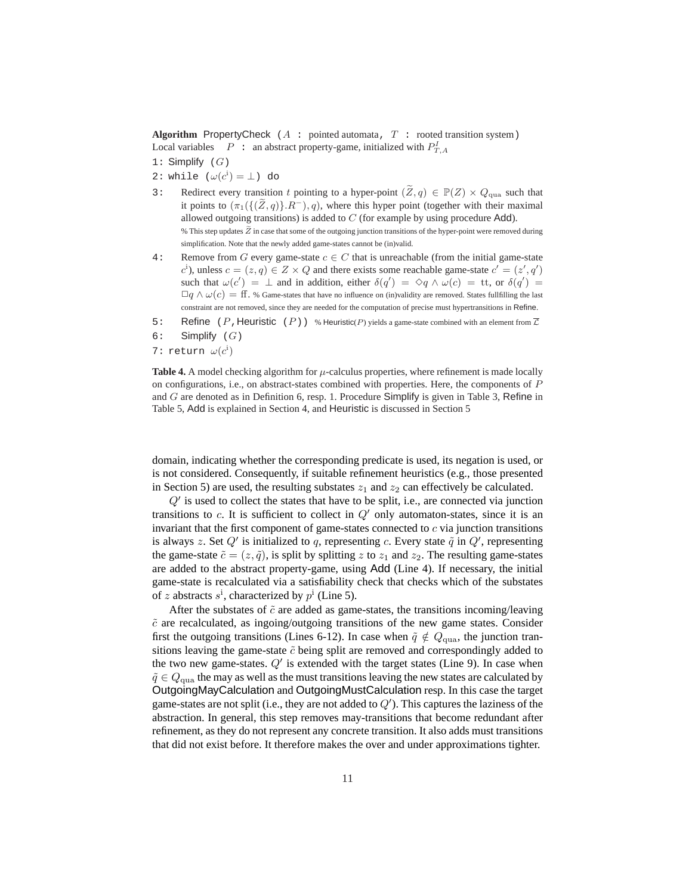**Algorithm** PropertyCheck ( $A$  : pointed automata,  $T$  : rooted transition system) Local variables  $P$ : an abstract property-game, initialized with  $P_{T,A}^I$ 

1: Simplify  $(G)$ 

- 2: while  $(\omega(c^i) = \bot)$  do
- 3: Redirect every transition t pointing to a hyper-point  $(\widetilde{Z}, q) \in \mathbb{P}(Z) \times Q_{\text{qua}}$  such that it points to  $(\pi_1(\{(\tilde{Z}, q)\}, R^-), q)$ , where this hyper point (together with their maximal allowed outgoing transitions) is added to  $C$  (for example by using procedure Add). % This step updates  $\tilde{Z}$  in case that some of the outgoing junction transitions of the hyper-point were removed during simplification. Note that the newly added game-states cannot be (in)valid.
- 4: Remove from G every game-state  $c \in C$  that is unreachable (from the initial game-state  $c^i$ ), unless  $c = (z, q) \in Z \times Q$  and there exists some reachable game-state  $c' = (z', q')$ such that  $\omega(c') = \perp$  and in addition, either  $\delta(q') = \Diamond q \land \omega(c) =$  tt, or  $\delta(q') =$  $\Box q \wedge \omega(c) = \text{ff}$ . % Game-states that have no influence on (in)validity are removed. States fullfilling the last constraint are not removed, since they are needed for the computation of precise must hypertransitions in Refine.
- 5: Refine  $(P,$  Heuristic  $(P)$ ) % Heuristic $(P)$  yields a game-state combined with an element from  $\overline{Z}$
- 6: Simplify  $(G)$
- 7: return  $\omega(c^i)$

**Table 4.** A model checking algorithm for  $\mu$ -calculus properties, where refinement is made locally on configurations, i.e., on abstract-states combined with properties. Here, the components of  $P$ and G are denoted as in Definition 6, resp. 1. Procedure Simplify is given in Table 3, Refine in Table 5, Add is explained in Section 4, and Heuristic is discussed in Section 5

domain, indicating whether the corresponding predicate is used, its negation is used, or is not considered. Consequently, if suitable refinement heuristics (e.g., those presented in Section 5) are used, the resulting substates  $z_1$  and  $z_2$  can effectively be calculated.

 $Q'$  is used to collect the states that have to be split, i.e., are connected via junction transitions to  $c$ . It is sufficient to collect in  $Q'$  only automaton-states, since it is an invariant that the first component of game-states connected to  $c$  via junction transitions is always z. Set  $Q'$  is initialized to q, representing c. Every state  $\tilde{q}$  in  $Q'$ , representing the game-state  $\tilde{c} = (z, \tilde{q})$ , is split by splitting z to  $z_1$  and  $z_2$ . The resulting game-states are added to the abstract property-game, using Add (Line 4). If necessary, the initial game-state is recalculated via a satisfiability check that checks which of the substates of z abstracts  $s^i$ , characterized by  $p^i$  (Line 5).

After the substates of  $\tilde{c}$  are added as game-states, the transitions incoming/leaving  $\tilde{c}$  are recalculated, as ingoing/outgoing transitions of the new game states. Consider first the outgoing transitions (Lines 6-12). In case when  $\tilde{q} \notin Q_{\text{qua}}$ , the junction transitions leaving the game-state  $\tilde{c}$  being split are removed and correspondingly added to the two new game-states.  $Q'$  is extended with the target states (Line 9). In case when  $\tilde{q} \in Q_{\text{qua}}$  the may as well as the must transitions leaving the new states are calculated by OutgoingMayCalculation and OutgoingMustCalculation resp. In this case the target game-states are not split (i.e., they are not added to  $Q'$ ). This captures the laziness of the abstraction. In general, this step removes may-transitions that become redundant after refinement, as they do not represent any concrete transition. It also adds must transitions that did not exist before. It therefore makes the over and under approximations tighter.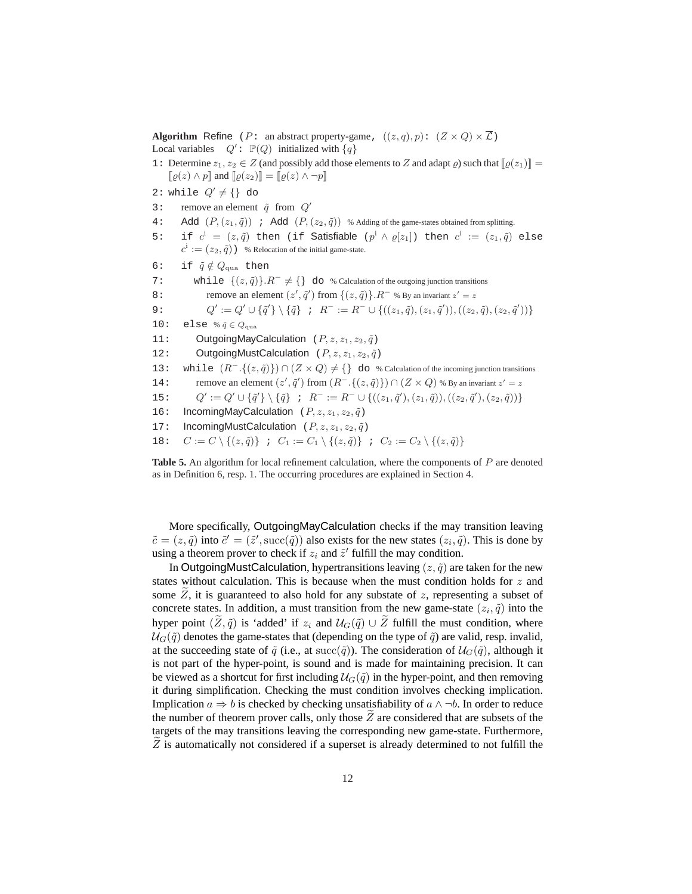**Algorithm** Refine (P: an abstract property-game,  $((z, q), p)$ :  $(Z \times Q) \times \overline{Z}$ ) Local variables  $Q' \colon \mathbb{P}(Q)$  initialized with  $\{q\}$ 1: Determine  $z_1, z_2 \in Z$  (and possibly add those elements to Z and adapt  $\rho$ ) such that  $[\![\rho(z_1)]\!] =$  $[\![\varrho(z) \wedge p]\!]$  and  $[\![\varrho(z_2)]\!] = [\![\varrho(z) \wedge \neg p]\!]$ 2: while  $Q' \neq \{\}$  do 3: remove an element  $\tilde{q}$  from  $Q'$ 4: Add  $(P,(z_1,\tilde{q}))$  ; Add  $(P,(z_2,\tilde{q}))$  % Adding of the game-states obtained from splitting. 5: if  $c^i = (z, \tilde{q})$  then (if Satisfiable  $(p^i \wedge \varrho[z_1])$  then  $c^i := (z_1, \tilde{q})$  else  $c^i := (z_2, \tilde{q})$  ) % Relocation of the initial game-state. 6: if  $\tilde{q} \notin Q_{\text{qua}}$  then 7: while  $\{(z, \tilde{q})\}.R^{-} \neq \{\}$  do % Calculation of the outgoing junction transitions 8: remove an element  $(z', \tilde{q}')$  from  $\{(z, \tilde{q})\}$ .  $R^-$  % By an invariant  $z' = z$ 9:  $Q' := Q' \cup {\{\tilde{q'}\} \setminus {\{\tilde{q}\}} : R^- := R^- \cup \{((z_1, \tilde{q}), (z_1, \tilde{q}')), ((z_2, \tilde{q}), (z_2, \tilde{q}'))\}}$ 10: else %  $\tilde{q} \in Q_{\text{qua}}$ 11: OutgoingMayCalculation  $(P, z, z_1, z_2, \tilde{q})$ 12: OutgoingMustCalculation  $(P, z, z_1, z_2, \tilde{q})$ 13: while  $(R^{-}.\{(z,\tilde{q})\}) \cap (Z \times Q) \neq \{\}$  do % Calculation of the incoming junction transitions 14: remove an element  $(z', \tilde{q}')$  from  $(R^- \cdot \{(z, \tilde{q})\}) \cap (Z \times Q)$  % By an invariant  $z' = z$  $15:$  $\mathcal{O}' := Q' \cup \{\tilde{q}'\} \setminus \{\tilde{q}\} : R^- := R^- \cup \{((z_1, \tilde{q}'), (z_1, \tilde{q})), ((z_2, \tilde{q}'), (z_2, \tilde{q}))\}$ 16: IncomingMayCalculation  $(P, z, z_1, z_2, \tilde{q})$ 17: IncomingMustCalculation  $(P, z, z_1, z_2, \tilde{q})$ 18:  $C := C \setminus \{(z, \tilde{q})\}$  ;  $C_1 := C_1 \setminus \{(z, \tilde{q})\}$  ;  $C_2 := C_2 \setminus \{(z, \tilde{q})\}$ 

**Table 5.** An algorithm for local refinement calculation, where the components of P are denoted as in Definition 6, resp. 1. The occurring procedures are explained in Section 4.

More specifically, OutgoingMayCalculation checks if the may transition leaving  $\tilde{c} = (z, \tilde{q})$  into  $\tilde{c}' = (\tilde{z}', \text{succ}(\tilde{q}))$  also exists for the new states  $(z_i, \tilde{q})$ . This is done by using a theorem prover to check if  $z_i$  and  $\tilde{z}'$  fulfill the may condition.

In Outgoing Must Calculation, hypertransitions leaving  $(z, \tilde{q})$  are taken for the new states without calculation. This is because when the must condition holds for  $z$  and some  $Z$ , it is guaranteed to also hold for any substate of  $z$ , representing a subset of concrete states. In addition, a must transition from the new game-state  $(z_i, \tilde{q})$  into the hyper point  $(\tilde{Z}, \tilde{q})$  is 'added' if  $z_i$  and  $\mathcal{U}_G(\tilde{q}) \cup \tilde{Z}$  fulfill the must condition, where  $U_{\mathcal{G}}(\tilde{q})$  denotes the game-states that (depending on the type of  $\tilde{q}$ ) are valid, resp. invalid, at the succeeding state of  $\tilde{q}$  (i.e., at succ( $\tilde{q}$ )). The consideration of  $\mathcal{U}_G(\tilde{q})$ , although it is not part of the hyper-point, is sound and is made for maintaining precision. It can be viewed as a shortcut for first including  $U_G(\tilde{q})$  in the hyper-point, and then removing it during simplification. Checking the must condition involves checking implication. Implication  $a \Rightarrow b$  is checked by checking unsatisfiability of  $a \land \neg b$ . In order to reduce the number of theorem prover calls, only those  $Z$  are considered that are subsets of the targets of the may transitions leaving the corresponding new game-state. Furthermore,  $Z$  is automatically not considered if a superset is already determined to not fulfill the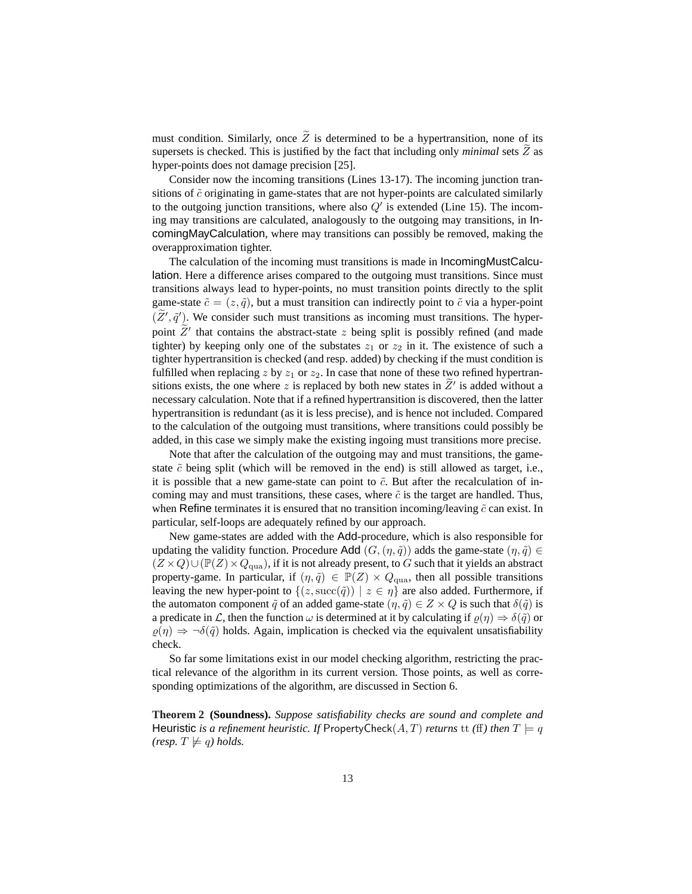must condition. Similarly, once  $\widetilde{Z}$  is determined to be a hypertransition, none of its supersets is checked. This is justified by the fact that including only *minimal* sets  $Z$  as hyper-points does not damage precision [25].

Consider now the incoming transitions (Lines 13-17). The incoming junction transitions of  $\tilde{c}$  originating in game-states that are not hyper-points are calculated similarly to the outgoing junction transitions, where also  $Q'$  is extended (Line 15). The incoming may transitions are calculated, analogously to the outgoing may transitions, in IncomingMayCalculation, where may transitions can possibly be removed, making the overapproximation tighter.

The calculation of the incoming must transitions is made in IncomingMustCalculation. Here a difference arises compared to the outgoing must transitions. Since must transitions always lead to hyper-points, no must transition points directly to the split game-state  $\tilde{c} = (z, \tilde{q})$ , but a must transition can indirectly point to  $\tilde{c}$  via a hyper-point  $(\tilde{Z}', \tilde{q}')$ . We consider such must transitions as incoming must transitions. The hyperpoint  $\widetilde{Z}'$  that contains the abstract-state z being split is possibly refined (and made tighter) by keeping only one of the substates  $z_1$  or  $z_2$  in it. The existence of such a tighter hypertransition is checked (and resp. added) by checking if the must condition is fulfilled when replacing z by  $z_1$  or  $z_2$ . In case that none of these two refined hypertransitions exists, the one where z is replaced by both new states in  $\widetilde{Z}'$  is added without a necessary calculation. Note that if a refined hypertransition is discovered, then the latter hypertransition is redundant (as it is less precise), and is hence not included. Compared to the calculation of the outgoing must transitions, where transitions could possibly be added, in this case we simply make the existing ingoing must transitions more precise.

Note that after the calculation of the outgoing may and must transitions, the gamestate  $\tilde{c}$  being split (which will be removed in the end) is still allowed as target, i.e., it is possible that a new game-state can point to  $\tilde{c}$ . But after the recalculation of incoming may and must transitions, these cases, where  $\tilde{c}$  is the target are handled. Thus, when Refine terminates it is ensured that no transition incoming/leaving  $\tilde{c}$  can exist. In particular, self-loops are adequately refined by our approach.

New game-states are added with the Add-procedure, which is also responsible for updating the validity function. Procedure Add  $(G,(\eta, \tilde{q}))$  adds the game-state  $(\eta, \tilde{q}) \in$  $(Z \times Q) \cup (\mathbb{P}(Z) \times Q_{\text{qua}})$ , if it is not already present, to G such that it yields an abstract property-game. In particular, if  $(\eta, \tilde{q}) \in \mathbb{P}(Z) \times Q_{\text{qua}}$ , then all possible transitions leaving the new hyper-point to  $\{(z,\text{succ}(\tilde{q})) \mid z \in \eta\}$  are also added. Furthermore, if the automaton component  $\tilde{q}$  of an added game-state  $(\eta, \tilde{q}) \in Z \times Q$  is such that  $\delta(\tilde{q})$  is a predicate in L, then the function  $\omega$  is determined at it by calculating if  $\rho(\eta) \Rightarrow \delta(\tilde{q})$  or  $\rho(\eta) \Rightarrow \neg \delta(\tilde{q})$  holds. Again, implication is checked via the equivalent unsatisfiability check.

So far some limitations exist in our model checking algorithm, restricting the practical relevance of the algorithm in its current version. Those points, as well as corresponding optimizations of the algorithm, are discussed in Section 6.

**Theorem 2 (Soundness).** *Suppose satisfiability checks are sound and complete and* Heuristic *is a refinement heuristic. If* PropertyCheck $(A, T)$  *returns* tt (ff) *then*  $T \models q$ *(resp.*  $T \not\models q$ *) holds.*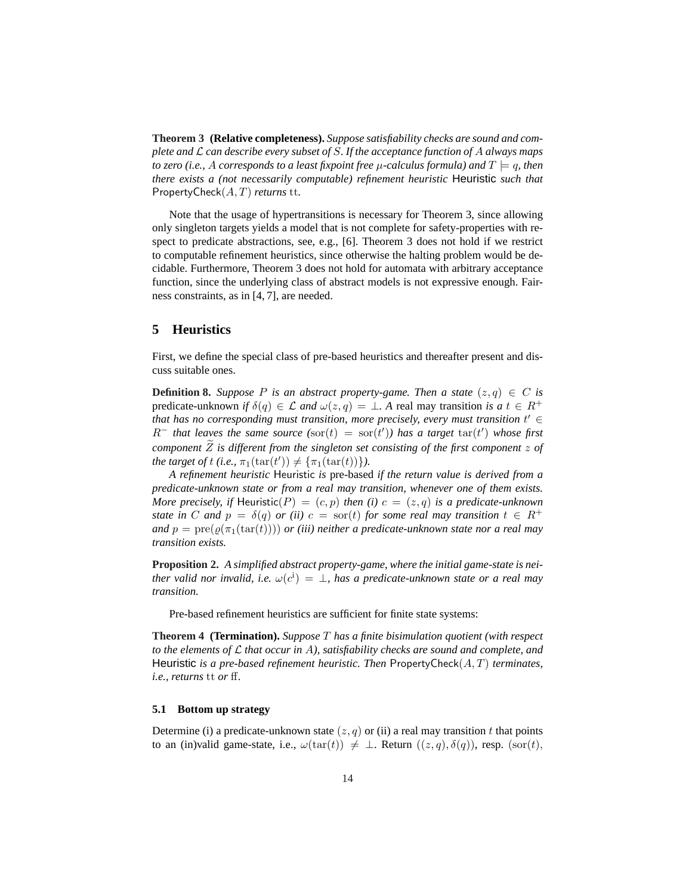**Theorem 3 (Relative completeness).** *Suppose satisfiability checks are sound and complete and* L *can describe every subset of* S*. If the acceptance function of* A *always maps to zero (i.e.,* A *corresponds to a least fixpoint free*  $\mu$ *-calculus formula) and*  $T \models q$ *, then there exists a (not necessarily computable) refinement heuristic* Heuristic *such that* PropertyCheck(A, T) *returns* tt*.*

Note that the usage of hypertransitions is necessary for Theorem 3, since allowing only singleton targets yields a model that is not complete for safety-properties with respect to predicate abstractions, see, e.g., [6]. Theorem 3 does not hold if we restrict to computable refinement heuristics, since otherwise the halting problem would be decidable. Furthermore, Theorem 3 does not hold for automata with arbitrary acceptance function, since the underlying class of abstract models is not expressive enough. Fairness constraints, as in [4, 7], are needed.

### **5 Heuristics**

First, we define the special class of pre-based heuristics and thereafter present and discuss suitable ones.

**Definition 8.** *Suppose* P *is an abstract property-game. Then a state*  $(z, q) \in C$  *is* predicate-unknown *if*  $\delta(q) \in \mathcal{L}$  *and*  $\omega(z,q) = \bot$ . A real may transition *is a*  $t \in R^+$ that has no corresponding must transition, more precisely, every must transition  $t' \in$  $R^-$  that leaves the same source  $(\text{sort}(t) = \text{sort}(t'))$  has a target  $\text{tar}(t')$  whose first *component*  $\widetilde{Z}$  *is different from the singleton set consisting of the first component*  $z$  *of the target of t (i.e.,*  $\pi_1(\text{tar}(t')) \neq {\pi_1(\text{tar}(t))}$ *).* 

*A refinement heuristic* Heuristic *is* pre-based *if the return value is derived from a predicate-unknown state or from a real may transition, whenever one of them exists. More precisely, if* Heuristic(P) =  $(c, p)$  *then (i)*  $c = (z, q)$  *is a predicate-unknown state in* C *and*  $p = \delta(q)$  *or (ii)*  $c = \text{sort}(t)$  *for some real may transition*  $t \in R^+$ *and*  $p = \text{pre}(\varrho(\pi_1(\text{tar}(t))))$  *or (iii) neither a predicate-unknown state nor a real may transition exists.*

**Proposition 2.** *A simplified abstract property-game, where the initial game-state is nei*ther valid nor invalid, i.e.  $\omega(c^i) = \perp$ , has a predicate-unknown state or a real may *transition.*

Pre-based refinement heuristics are sufficient for finite state systems:

**Theorem 4 (Termination).** *Suppose* T *has a finite bisimulation quotient (with respect to the elements of* L *that occur in* A*), satisfiability checks are sound and complete, and* Heuristic *is a pre-based refinement heuristic. Then* PropertyCheck(A, T) *terminates, i.e., returns* tt *or* ff*.*

#### **5.1 Bottom up strategy**

Determine (i) a predicate-unknown state  $(z, q)$  or (ii) a real may transition t that points to an (in)valid game-state, i.e.,  $\omega(\text{tar}(t)) \neq \bot$ . Return  $((z, q), \delta(q))$ , resp. (sor(t),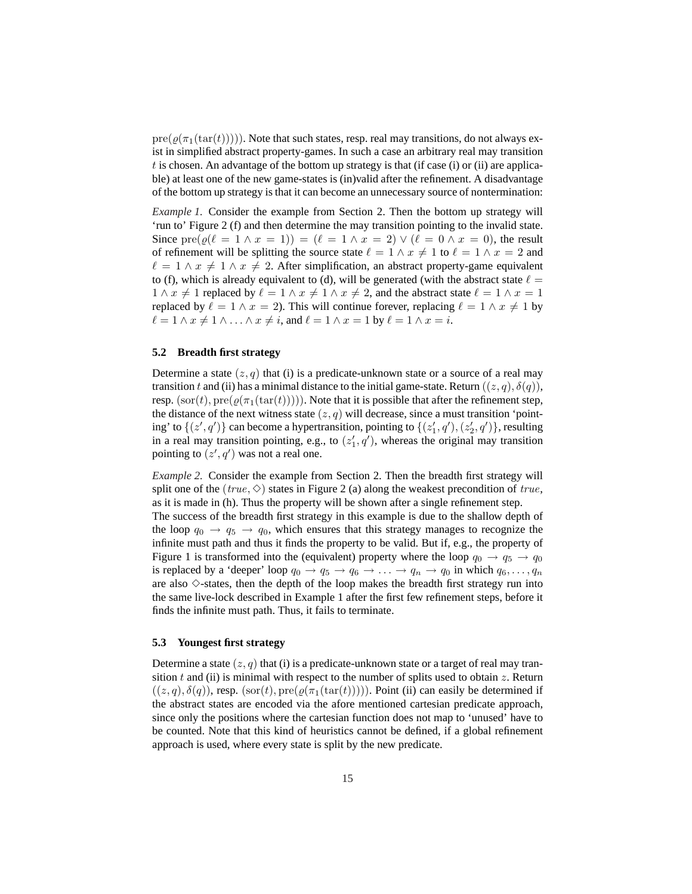$pre(\rho(\pi_1(\text{tar}(t))))$ . Note that such states, resp. real may transitions, do not always exist in simplified abstract property-games. In such a case an arbitrary real may transition t is chosen. An advantage of the bottom up strategy is that (if case (i) or (ii) are applicable) at least one of the new game-states is (in)valid after the refinement. A disadvantage of the bottom up strategy is that it can become an unnecessary source of nontermination:

*Example 1.* Consider the example from Section 2. Then the bottom up strategy will 'run to' Figure 2 (f) and then determine the may transition pointing to the invalid state. Since  $\text{pre}(\varrho(\ell = 1 \land x = 1)) = (\ell = 1 \land x = 2) \lor (\ell = 0 \land x = 0)$ , the result of refinement will be splitting the source state  $\ell = 1 \wedge x \neq 1$  to  $\ell = 1 \wedge x = 2$  and  $\ell = 1 \land x \neq 1 \land x \neq 2$ . After simplification, an abstract property-game equivalent to (f), which is already equivalent to (d), will be generated (with the abstract state  $\ell =$  $1 \wedge x \neq 1$  replaced by  $\ell = 1 \wedge x \neq 1 \wedge x \neq 2$ , and the abstract state  $\ell = 1 \wedge x = 1$ replaced by  $\ell = 1 \wedge x = 2$ ). This will continue forever, replacing  $\ell = 1 \wedge x \neq 1$  by  $\ell = 1 \wedge x \neq 1 \wedge \ldots \wedge x \neq i$ , and  $\ell = 1 \wedge x = 1$  by  $\ell = 1 \wedge x = i$ .

### **5.2 Breadth first strategy**

Determine a state  $(z, q)$  that (i) is a predicate-unknown state or a source of a real may transition t and (ii) has a minimal distance to the initial game-state. Return  $((z, q), \delta(q))$ , resp.  $(\text{sor}(t), \text{pre}(\varrho(\pi_1(\text{tar}(t)))))$ . Note that it is possible that after the refinement step, the distance of the next witness state  $(z, q)$  will decrease, since a must transition 'pointing' to  $\{(z', q')\}$  can become a hypertransition, pointing to  $\{(z_1', q'), (z_2', q')\}$ , resulting in a real may transition pointing, e.g., to  $(z'_1, q')$ , whereas the original may transition pointing to  $(z', q')$  was not a real one.

*Example 2.* Consider the example from Section 2. Then the breadth first strategy will split one of the (true,  $\diamond$ ) states in Figure 2 (a) along the weakest precondition of true, as it is made in (h). Thus the property will be shown after a single refinement step.

The success of the breadth first strategy in this example is due to the shallow depth of the loop  $q_0 \rightarrow q_5 \rightarrow q_0$ , which ensures that this strategy manages to recognize the infinite must path and thus it finds the property to be valid. But if, e.g., the property of Figure 1 is transformed into the (equivalent) property where the loop  $q_0 \rightarrow q_5 \rightarrow q_0$ is replaced by a 'deeper' loop  $q_0 \rightarrow q_5 \rightarrow q_6 \rightarrow \ldots \rightarrow q_n \rightarrow q_0$  in which  $q_6, \ldots, q_n$ are also  $\diamond$ -states, then the depth of the loop makes the breadth first strategy run into the same live-lock described in Example 1 after the first few refinement steps, before it finds the infinite must path. Thus, it fails to terminate.

#### **5.3 Youngest first strategy**

Determine a state  $(z, q)$  that (i) is a predicate-unknown state or a target of real may transition  $t$  and (ii) is minimal with respect to the number of splits used to obtain  $z$ . Return  $((z, q), \delta(q))$ , resp.  $(sor(t), pre(\rho(\pi_1(tar(t))))$ . Point (ii) can easily be determined if the abstract states are encoded via the afore mentioned cartesian predicate approach, since only the positions where the cartesian function does not map to 'unused' have to be counted. Note that this kind of heuristics cannot be defined, if a global refinement approach is used, where every state is split by the new predicate.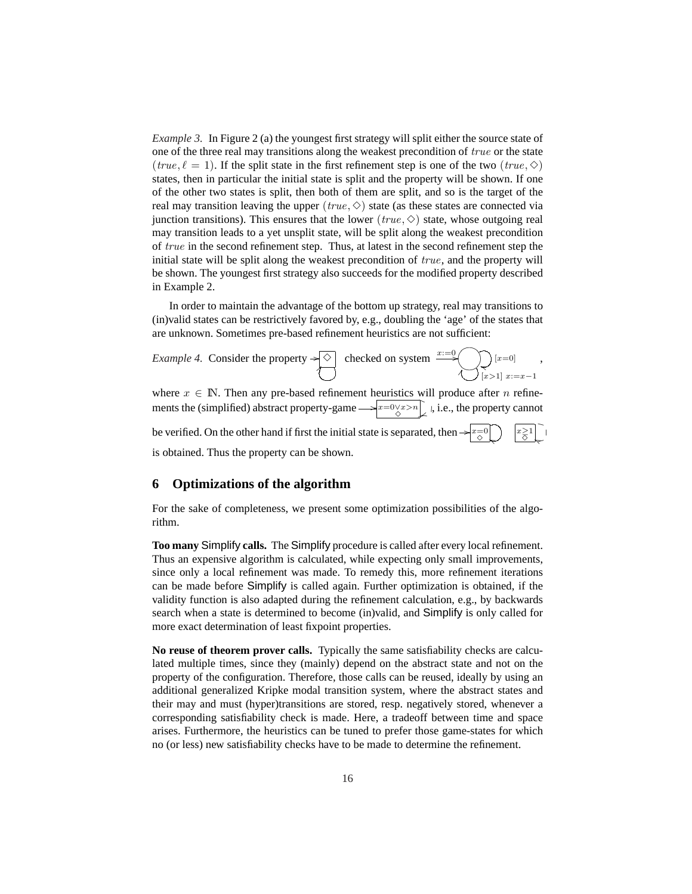*Example 3.* In Figure 2 (a) the youngest first strategy will split either the source state of one of the three real may transitions along the weakest precondition of true or the state (true,  $\ell = 1$ ). If the split state in the first refinement step is one of the two (true,  $\diamond$ ) states, then in particular the initial state is split and the property will be shown. If one of the other two states is split, then both of them are split, and so is the target of the real may transition leaving the upper  $(true, \Diamond)$  state (as these states are connected via junction transitions). This ensures that the lower ( $true, \Diamond$ ) state, whose outgoing real may transition leads to a yet unsplit state, will be split along the weakest precondition of true in the second refinement step. Thus, at latest in the second refinement step the initial state will be split along the weakest precondition of *true*, and the property will be shown. The youngest first strategy also succeeds for the modified property described in Example 2.

In order to maintain the advantage of the bottom up strategy, real may transitions to (in)valid states can be restrictively favored by, e.g., doubling the 'age' of the states that are unknown. Sometimes pre-based refinement heuristics are not sufficient:



# **6 Optimizations of the algorithm**

For the sake of completeness, we present some optimization possibilities of the algorithm.

**Too many** Simplify **calls.** The Simplify procedure is called after every local refinement. Thus an expensive algorithm is calculated, while expecting only small improvements, since only a local refinement was made. To remedy this, more refinement iterations can be made before Simplify is called again. Further optimization is obtained, if the validity function is also adapted during the refinement calculation, e.g., by backwards search when a state is determined to become (in)valid, and Simplify is only called for more exact determination of least fixpoint properties.

**No reuse of theorem prover calls.** Typically the same satisfiability checks are calculated multiple times, since they (mainly) depend on the abstract state and not on the property of the configuration. Therefore, those calls can be reused, ideally by using an additional generalized Kripke modal transition system, where the abstract states and their may and must (hyper)transitions are stored, resp. negatively stored, whenever a corresponding satisfiability check is made. Here, a tradeoff between time and space arises. Furthermore, the heuristics can be tuned to prefer those game-states for which no (or less) new satisfiability checks have to be made to determine the refinement.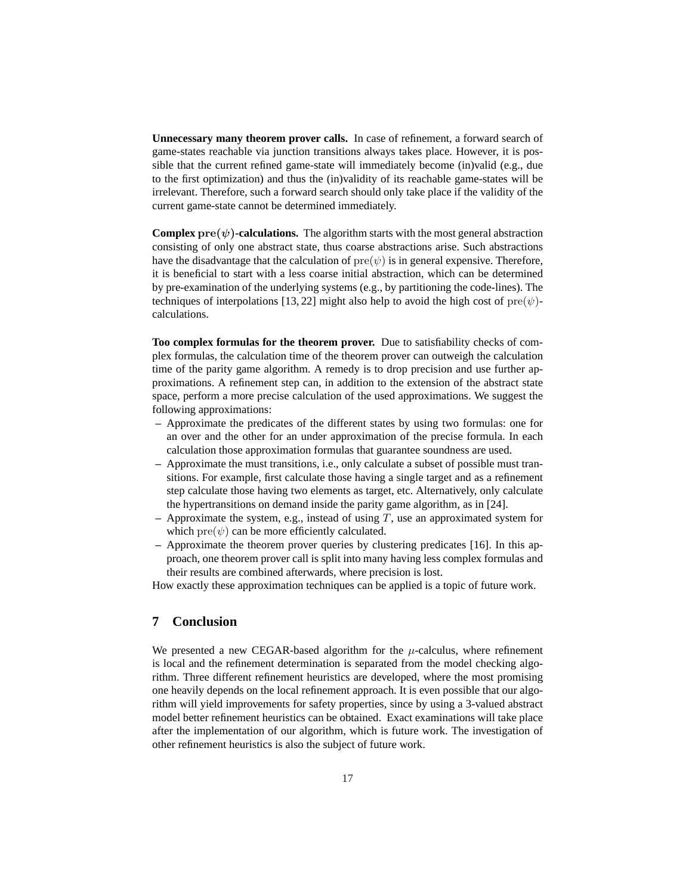**Unnecessary many theorem prover calls.** In case of refinement, a forward search of game-states reachable via junction transitions always takes place. However, it is possible that the current refined game-state will immediately become (in)valid (e.g., due to the first optimization) and thus the (in)validity of its reachable game-states will be irrelevant. Therefore, such a forward search should only take place if the validity of the current game-state cannot be determined immediately.

**Complex**  $pre(\psi)$ -calculations. The algorithm starts with the most general abstraction consisting of only one abstract state, thus coarse abstractions arise. Such abstractions have the disadvantage that the calculation of  $pre(\psi)$  is in general expensive. Therefore, it is beneficial to start with a less coarse initial abstraction, which can be determined by pre-examination of the underlying systems (e.g., by partitioning the code-lines). The techniques of interpolations [13, 22] might also help to avoid the high cost of pre $(\psi)$ calculations.

**Too complex formulas for the theorem prover.** Due to satisfiability checks of complex formulas, the calculation time of the theorem prover can outweigh the calculation time of the parity game algorithm. A remedy is to drop precision and use further approximations. A refinement step can, in addition to the extension of the abstract state space, perform a more precise calculation of the used approximations. We suggest the following approximations:

- **–** Approximate the predicates of the different states by using two formulas: one for an over and the other for an under approximation of the precise formula. In each calculation those approximation formulas that guarantee soundness are used.
- **–** Approximate the must transitions, i.e., only calculate a subset of possible must transitions. For example, first calculate those having a single target and as a refinement step calculate those having two elements as target, etc. Alternatively, only calculate the hypertransitions on demand inside the parity game algorithm, as in [24].
- **–** Approximate the system, e.g., instead of using T, use an approximated system for which  $pre(\psi)$  can be more efficiently calculated.
- **–** Approximate the theorem prover queries by clustering predicates [16]. In this approach, one theorem prover call is split into many having less complex formulas and their results are combined afterwards, where precision is lost.

How exactly these approximation techniques can be applied is a topic of future work.

# **7 Conclusion**

We presented a new CEGAR-based algorithm for the  $\mu$ -calculus, where refinement is local and the refinement determination is separated from the model checking algorithm. Three different refinement heuristics are developed, where the most promising one heavily depends on the local refinement approach. It is even possible that our algorithm will yield improvements for safety properties, since by using a 3-valued abstract model better refinement heuristics can be obtained. Exact examinations will take place after the implementation of our algorithm, which is future work. The investigation of other refinement heuristics is also the subject of future work.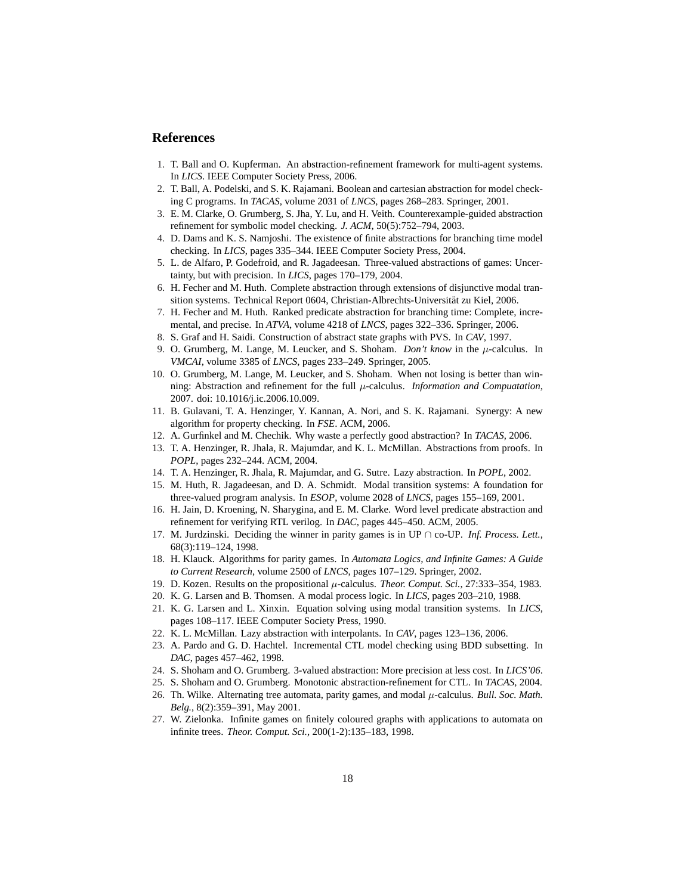### **References**

- 1. T. Ball and O. Kupferman. An abstraction-refinement framework for multi-agent systems. In *LICS*. IEEE Computer Society Press, 2006.
- 2. T. Ball, A. Podelski, and S. K. Rajamani. Boolean and cartesian abstraction for model checking C programs. In *TACAS*, volume 2031 of *LNCS*, pages 268–283. Springer, 2001.
- 3. E. M. Clarke, O. Grumberg, S. Jha, Y. Lu, and H. Veith. Counterexample-guided abstraction refinement for symbolic model checking. *J. ACM*, 50(5):752–794, 2003.
- 4. D. Dams and K. S. Namjoshi. The existence of finite abstractions for branching time model checking. In *LICS*, pages 335–344. IEEE Computer Society Press, 2004.
- 5. L. de Alfaro, P. Godefroid, and R. Jagadeesan. Three-valued abstractions of games: Uncertainty, but with precision. In *LICS*, pages 170–179, 2004.
- 6. H. Fecher and M. Huth. Complete abstraction through extensions of disjunctive modal transition systems. Technical Report 0604, Christian-Albrechts-Universitat zu Kiel, 2006. ¨
- 7. H. Fecher and M. Huth. Ranked predicate abstraction for branching time: Complete, incremental, and precise. In *ATVA*, volume 4218 of *LNCS*, pages 322–336. Springer, 2006.
- 8. S. Graf and H. Saidi. Construction of abstract state graphs with PVS. In *CAV*, 1997.
- 9. O. Grumberg, M. Lange, M. Leucker, and S. Shoham. *Don't know* in the  $\mu$ -calculus. In *VMCAI*, volume 3385 of *LNCS*, pages 233–249. Springer, 2005.
- 10. O. Grumberg, M. Lange, M. Leucker, and S. Shoham. When not losing is better than winning: Abstraction and refinement for the full µ-calculus. *Information and Compuatation*, 2007. doi: 10.1016/j.ic.2006.10.009.
- 11. B. Gulavani, T. A. Henzinger, Y. Kannan, A. Nori, and S. K. Rajamani. Synergy: A new algorithm for property checking. In *FSE*. ACM, 2006.
- 12. A. Gurfinkel and M. Chechik. Why waste a perfectly good abstraction? In *TACAS*, 2006.
- 13. T. A. Henzinger, R. Jhala, R. Majumdar, and K. L. McMillan. Abstractions from proofs. In *POPL*, pages 232–244. ACM, 2004.
- 14. T. A. Henzinger, R. Jhala, R. Majumdar, and G. Sutre. Lazy abstraction. In *POPL*, 2002.
- 15. M. Huth, R. Jagadeesan, and D. A. Schmidt. Modal transition systems: A foundation for three-valued program analysis. In *ESOP*, volume 2028 of *LNCS*, pages 155–169, 2001.
- 16. H. Jain, D. Kroening, N. Sharygina, and E. M. Clarke. Word level predicate abstraction and refinement for verifying RTL verilog. In *DAC*, pages 445–450. ACM, 2005.
- 17. M. Jurdzinski. Deciding the winner in parity games is in UP ∩ co-UP. *Inf. Process. Lett.*, 68(3):119–124, 1998.
- 18. H. Klauck. Algorithms for parity games. In *Automata Logics, and Infinite Games: A Guide to Current Research*, volume 2500 of *LNCS*, pages 107–129. Springer, 2002.
- 19. D. Kozen. Results on the propositional µ-calculus. *Theor. Comput. Sci.*, 27:333–354, 1983.
- 20. K. G. Larsen and B. Thomsen. A modal process logic. In *LICS*, pages 203–210, 1988.
- 21. K. G. Larsen and L. Xinxin. Equation solving using modal transition systems. In *LICS*, pages 108–117. IEEE Computer Society Press, 1990.
- 22. K. L. McMillan. Lazy abstraction with interpolants. In *CAV*, pages 123–136, 2006.
- 23. A. Pardo and G. D. Hachtel. Incremental CTL model checking using BDD subsetting. In *DAC*, pages 457–462, 1998.
- 24. S. Shoham and O. Grumberg. 3-valued abstraction: More precision at less cost. In *LICS'06*.
- 25. S. Shoham and O. Grumberg. Monotonic abstraction-refinement for CTL. In *TACAS*, 2004.
- 26. Th. Wilke. Alternating tree automata, parity games, and modal  $\mu$ -calculus. *Bull. Soc. Math. Belg.*, 8(2):359–391, May 2001.
- 27. W. Zielonka. Infinite games on finitely coloured graphs with applications to automata on infinite trees. *Theor. Comput. Sci.*, 200(1-2):135–183, 1998.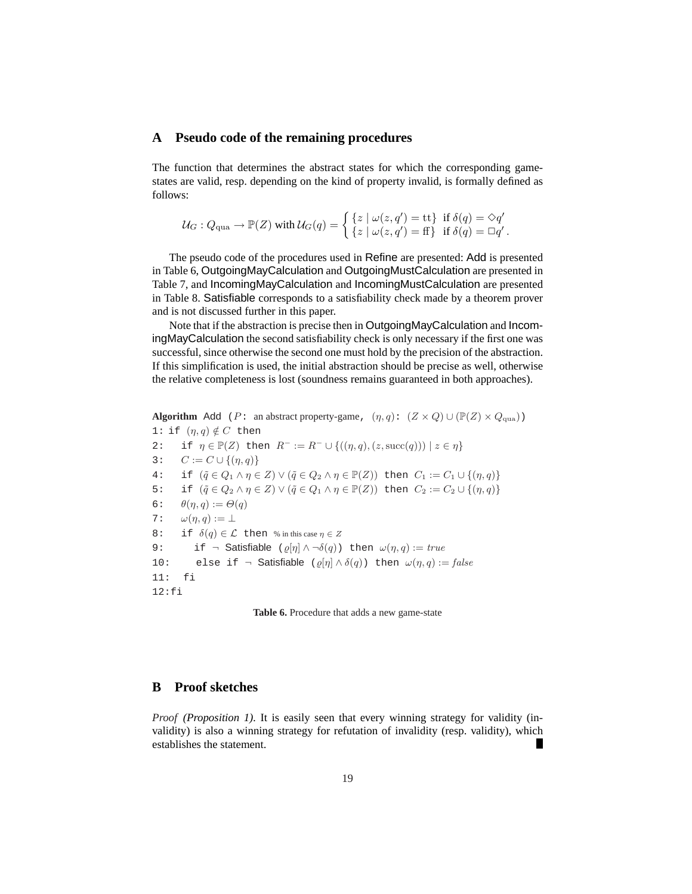## **A Pseudo code of the remaining procedures**

The function that determines the abstract states for which the corresponding gamestates are valid, resp. depending on the kind of property invalid, is formally defined as follows:

$$
\mathcal{U}_G: Q_{\text{qua}} \to \mathbb{P}(Z) \text{ with } \mathcal{U}_G(q) = \begin{cases} \{z \mid \omega(z,q') = \text{tt}\} & \text{if } \delta(q) = \Diamond q' \\ \{z \mid \omega(z,q') = \text{ff}\} & \text{if } \delta(q) = \Box q' \end{cases}.
$$

The pseudo code of the procedures used in Refine are presented: Add is presented in Table 6, OutgoingMayCalculation and OutgoingMustCalculation are presented in Table 7, and IncomingMayCalculation and IncomingMustCalculation are presented in Table 8. Satisfiable corresponds to a satisfiability check made by a theorem prover and is not discussed further in this paper.

Note that if the abstraction is precise then in OutgoingMayCalculation and IncomingMayCalculation the second satisfiability check is only necessary if the first one was successful, since otherwise the second one must hold by the precision of the abstraction. If this simplification is used, the initial abstraction should be precise as well, otherwise the relative completeness is lost (soundness remains guaranteed in both approaches).

```
Algorithm Add (P: an abstract property-game, (\eta, q): (Z \times Q) \cup (\mathbb{P}(Z) \times Q_{\text{qua}}))
1: if (\eta, q) \notin C then
2: if \eta \in \mathbb{P}(Z) then R^- := R^- \cup \{((\eta, q), (z, \text{succ}(q))) \mid z \in \eta\}3: C := C \cup \{(\eta, q)\}\4: if (\tilde{q} \in Q_1 \land \eta \in Z) \lor (\tilde{q} \in Q_2 \land \eta \in \mathbb{P}(Z)) then C_1 := C_1 \cup \{(\eta, q)\}\5: if (\tilde{q} \in Q_2 \land \eta \in Z) \lor (\tilde{q} \in Q_1 \land \eta \in \mathbb{P}(Z)) then C_2 := C_2 \cup \{(\eta, q)\}\6: \theta(\eta, q) := \Theta(q)7: \omega(\eta, q) := \perp8: if \delta(q) \in \mathcal{L} then % in this case \eta \in Z9: if \neg Satisfiable (\varrho[\eta] \wedge \neg \delta(q)) then \omega(\eta, q) := true10: else if \neg Satisfiable (\varrho[\eta] \wedge \delta(q)) then \omega(\eta, q) := false11: fi
12:fi
```
**Table 6.** Procedure that adds a new game-state

### **B Proof sketches**

*Proof (Proposition 1).* It is easily seen that every winning strategy for validity (invalidity) is also a winning strategy for refutation of invalidity (resp. validity), which establishes the statement.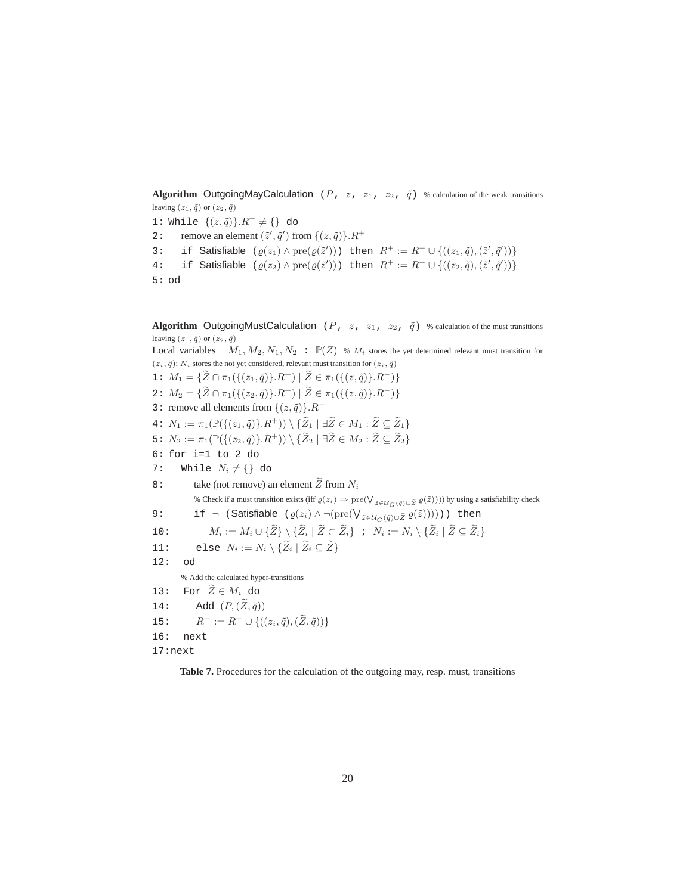**Algorithm** OutgoingMayCalculation (P,  $z$ ,  $z_1$ ,  $z_2$ ,  $\tilde{q}$ ) % calculation of the weak transitions leaving  $(z_1, \tilde{q})$  or  $(z_2, \tilde{q})$ 

1: While  $\{(z,\tilde{q})\}.R^+\neq \{\}$  do 2: remove an element  $(\tilde{z}', \tilde{q}')$  from  $\{(z, \tilde{q})\}.R^+$ 3: if Satisfiable  $(\varrho(z_1) \wedge \mathrm{pre}(\varrho(\tilde{z}')))$  then  $R^+ := R^+ \cup \{((z_1, \tilde{q}),(\tilde{z}', \tilde{q}'))\}$ 4: if Satisfiable  $(\varrho(z_2) \wedge \mathrm{pre}(\varrho(\tilde{z}')))$  then  $R^+ := R^+ \cup \{((z_2, \tilde{q}),(\tilde{z}', \tilde{q}'))\}$ 5: od

**Algorithm** OutgoingMustCalculation (P,  $z$ ,  $z_1$ ,  $z_2$ ,  $\tilde{q}$ ) % calculation of the must transitions leaving  $(z_1, \tilde{q})$  or  $(z_2, \tilde{q})$ 

Local variables  $M_1, M_2, N_1, N_2 : \mathbb{P}(Z)$  %  $M_i$  stores the yet determined relevant must transition for  $(z_i, \tilde{q}); N_i$  stores the not yet considered, relevant must transition for  $(z_i, \tilde{q})$ 1:  $M_1 = {\{\widetilde{Z} \cap \pi_1(\{(z_1, \widetilde{q})\}.R^+) \mid \widetilde{Z} \in \pi_1(\{(z, \widetilde{q})\}.R^-)\}}$ 2:  $M_2 = {\{\widetilde{Z} \cap \pi_1(\{(z_2, \widetilde{q})\}.R^+) \mid \widetilde{Z} \in \pi_1(\{(z, \widetilde{q})\}.R^-)\}}$ 3: remove all elements from  $\{(z,\tilde{q})\}.R^-$ 4:  $N_1 := \pi_1(\mathbb{P}(\{(z_1, \tilde{q})\}.R^+)) \setminus {\tilde{Z}_1 \mid \exists \tilde{Z} \in M_1 : \tilde{Z} \subseteq \tilde{Z}_1}$ 5:  $N_2 := \pi_1(\mathbb{P}(\{(z_2, \tilde{q})\}.R^+)) \setminus {\tilde{Z}_2 \mid \exists \tilde{Z} \in M_2 : \tilde{Z} \subseteq \tilde{Z}_2}$ 6: for i=1 to 2 do 7: While  $N_i \neq \{\}$  do 8: take (not remove) an element  $\widetilde{Z}$  from  $N_i$ % Check if a must transition exists (iff  $\varrho(z_i) \Rightarrow \text{pre}(\bigvee_{\tilde{z} \in \mathcal{U}_G(\tilde{q}) \cup \tilde{Z}} \varrho(\tilde{z})))$ ) by using a satisfiability check 9: if  $\neg$  (Satisfiable ( $\varrho(z_i) \land \neg(\text{pre}(\forall_{\tilde{z} \in U_G(\tilde{q}) \cup \tilde{z}} \varrho(\tilde{z})))$ )))) then 10:  $M_i := M_i \cup {\{\widetilde{Z}\}} \setminus {\{\widetilde{Z}_i \mid \widetilde{Z} \subset \widetilde{Z}_i\}}$  ;  $N_i := N_i \setminus {\{\widetilde{Z}_i \mid \widetilde{Z} \subseteq \widetilde{Z}_i\}}$ 11: else  $N_i := N_i \setminus {\{\widetilde{Z}_i \mid \widetilde{Z}_i \subseteq \widetilde{Z}\}}$ 12: od % Add the calculated hyper-transitions 13: For  $\widetilde{Z} \in M_i$  do 14: Add  $(P, (\widetilde{Z}, \widetilde{q}))$  $15:$  $\bar{z} := R^- \cup \{((z_i, \tilde{q}), (\tilde{Z}, \tilde{q}))\}$ 16: next 17:next

**Table 7.** Procedures for the calculation of the outgoing may, resp. must, transitions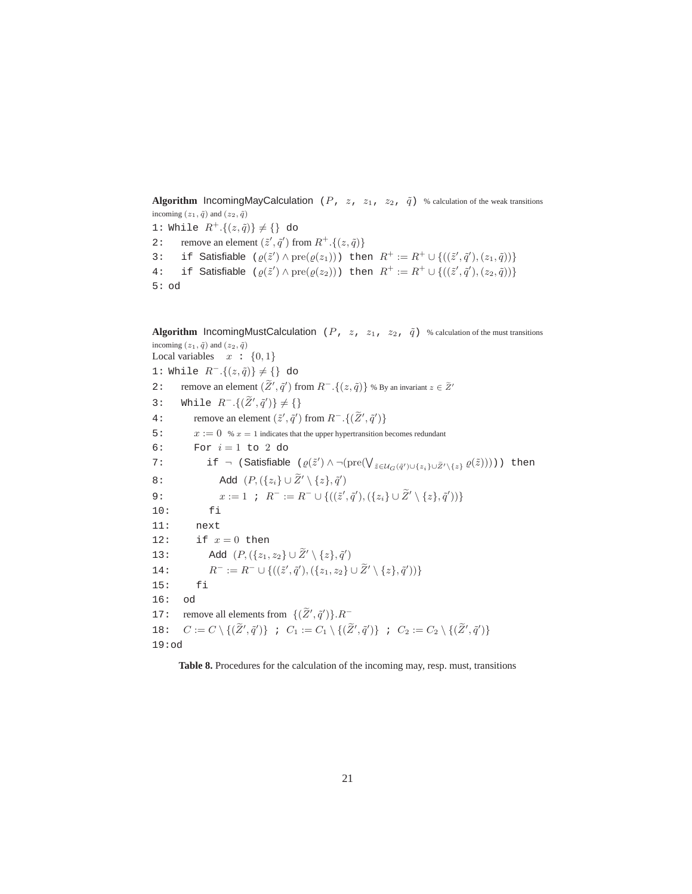**Algorithm** IncomingMayCalculation (P,  $z$ ,  $z_1$ ,  $z_2$ ,  $\tilde{q}$ ) % calculation of the weak transitions incoming  $(z_1, \tilde{q})$  and  $(z_2, \tilde{q})$ 1: While  $R^+ \cdot \{(z, \tilde{q})\} \neq {\}$  do 2: remove an element  $(\tilde{z}', \tilde{q}')$  from  $R^+$ .  $\{(z, \tilde{q})\}$ 3: if Satisfiable  $(\varrho(\tilde{z}') \wedge \mathrm{pre}(\varrho(z_1)))$  then  $R^+ := R^+ \cup \{((\tilde{z}', \tilde{q}'), (z_1, \tilde{q}))\}$ 4: if Satisfiable  $(\varrho(\tilde{z}') \wedge \mathrm{pre}(\varrho(z_2)))$  then  $R^+ := R^+ \cup \{((\tilde{z}', \tilde{q}'), (z_2, \tilde{q}))\}$ 5: od

**Algorithm** IncomingMustCalculation (P,  $z$ ,  $z_1$ ,  $z_2$ ,  $\tilde{q}$ ) % calculation of the must transitions incoming  $(z_1, \tilde{q})$  and  $(z_2, \tilde{q})$ Local variables  $x : \{0,1\}$ 1: While  $R^{-}.\{(z,\tilde{q})\}\neq \{\}$  do 2: remove an element  $(\widetilde{Z}', \widetilde{q}')$  from  $R^-$ .  $\{(z, \widetilde{q})\}$  % By an invariant  $z \in \widetilde{Z}'$ 3: While  $R^{-}\left\{(\widetilde{Z}', \widetilde{q}')\right\} \neq \left\{\right\}$ 4: remove an element  $(\tilde{z}', \tilde{q}')$  from  $R^-$ .  $\{(\tilde{Z}', \tilde{q}')\}$ 5:  $x := 0$  %  $x = 1$  indicates that the upper hypertransition becomes redundant 6: For  $i = 1$  to 2 do 7: if ¬ (Satisfiable  $(\varrho(\tilde{z}') \wedge \neg(\mathrm{pre}(\bigvee_{\tilde{z} \in \mathcal{U}_G(\tilde{q}') \cup \{z_i\} \cup \tilde{Z}' \setminus \{z\}} \varrho(\tilde{z})))$ )) then 8: Add  $(P, (\{z_i\} \cup \widetilde{Z}' \setminus \{z\}, \widetilde{q}')$ 9:  $x := 1$  ;  $R^- := R^- \cup \{((\tilde{z}', \tilde{q}'), (\{z_i\} \cup \tilde{Z}' \setminus \{z\}, \tilde{q}'))\}$ 10: fi 11: next 12: if  $x = 0$  then 13: Add  $(P, (\{z_1, z_2\} \cup \widetilde{Z}' \setminus \{z\}, \widetilde{q}')$  $14:$  $\bar{Z}$  :=  $R^- \cup \{((\tilde{z}', \tilde{q}'), (\{z_1,z_2\} \cup \tilde{Z}' \setminus \{z\}, \tilde{q}'))\}$ 15: fi 16: od 17: remove all elements from  $\{(\widetilde{Z}', \widetilde{q}')\}.R^ 18: \quad C:= C \setminus \{ (\widetilde{Z}', \widetilde{q}') \} \; \; : \; \; C_1:= C_1 \setminus \{ (\widetilde{Z}', \widetilde{q}') \} \; \; : \; \; C_2:= C_2 \setminus \{ (\widetilde{Z}', \widetilde{q}') \}$ 19:od

**Table 8.** Procedures for the calculation of the incoming may, resp. must, transitions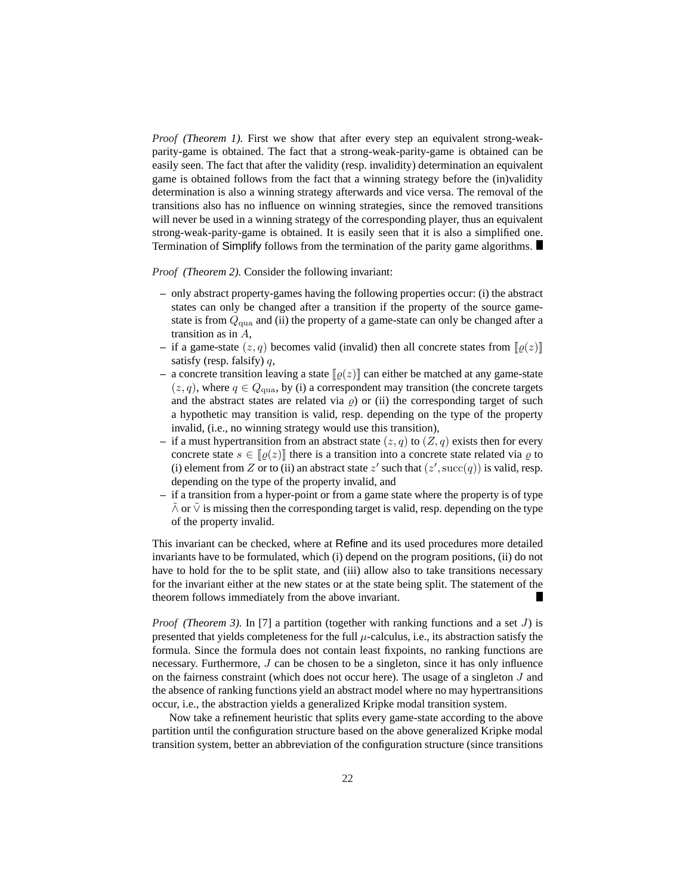*Proof (Theorem 1).* First we show that after every step an equivalent strong-weakparity-game is obtained. The fact that a strong-weak-parity-game is obtained can be easily seen. The fact that after the validity (resp. invalidity) determination an equivalent game is obtained follows from the fact that a winning strategy before the (in)validity determination is also a winning strategy afterwards and vice versa. The removal of the transitions also has no influence on winning strategies, since the removed transitions will never be used in a winning strategy of the corresponding player, thus an equivalent strong-weak-parity-game is obtained. It is easily seen that it is also a simplified one. Termination of Simplify follows from the termination of the parity game algorithms.

*Proof (Theorem 2).* Consider the following invariant:

- **–** only abstract property-games having the following properties occur: (i) the abstract states can only be changed after a transition if the property of the source gamestate is from  $Q_{\text{qua}}$  and (ii) the property of a game-state can only be changed after a transition as in A,
- if a game-state  $(z, q)$  becomes valid (invalid) then all concrete states from  $[\![\rho(z)]\!]$ satisfy (resp. falsify)  $q$ ,
- a concrete transition leaving a state  $\llbracket \varrho(z) \rrbracket$  can either be matched at any game-state  $(z, q)$ , where  $q \in Q_{\text{qua}}$ , by (i) a correspondent may transition (the concrete targets and the abstract states are related via  $\varrho$ ) or (ii) the corresponding target of such a hypothetic may transition is valid, resp. depending on the type of the property invalid, (i.e., no winning strategy would use this transition),
- if a must hypertransition from an abstract state  $(z, q)$  to  $(Z, q)$  exists then for every concrete state  $s \in [\![\rho(z)]\!]$  there is a transition into a concrete state related via  $\rho$  to (i) element from Z or to (ii) an abstract state  $z'$  such that  $(z', \text{succ}(q))$  is valid, resp. depending on the type of the property invalid, and
- **–** if a transition from a hyper-point or from a game state where the property is of type  $\tilde{\wedge}$  or  $\tilde{\vee}$  is missing then the corresponding target is valid, resp. depending on the type of the property invalid.

This invariant can be checked, where at Refine and its used procedures more detailed invariants have to be formulated, which (i) depend on the program positions, (ii) do not have to hold for the to be split state, and (iii) allow also to take transitions necessary for the invariant either at the new states or at the state being split. The statement of the theorem follows immediately from the above invariant.

*Proof (Theorem 3).* In [7] a partition (together with ranking functions and a set J) is presented that yields completeness for the full  $\mu$ -calculus, i.e., its abstraction satisfy the formula. Since the formula does not contain least fixpoints, no ranking functions are necessary. Furthermore, J can be chosen to be a singleton, since it has only influence on the fairness constraint (which does not occur here). The usage of a singleton J and the absence of ranking functions yield an abstract model where no may hypertransitions occur, i.e., the abstraction yields a generalized Kripke modal transition system.

Now take a refinement heuristic that splits every game-state according to the above partition until the configuration structure based on the above generalized Kripke modal transition system, better an abbreviation of the configuration structure (since transitions